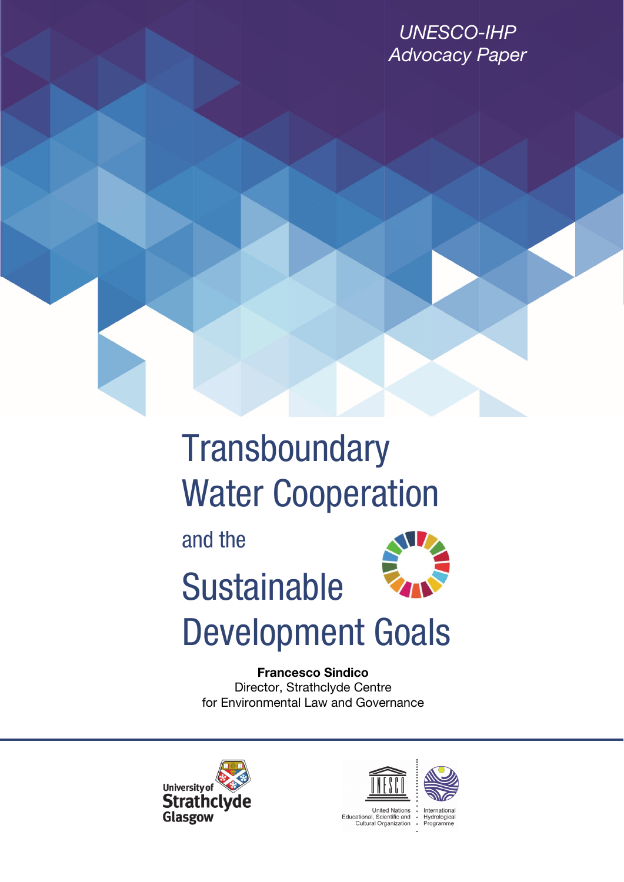*UNESCO-IHP Advocacy Paper* 

## **Transboundary** Water Cooperation

and the

Sustainable



## Development Goals

**Francesco Sindico**  Director, Strathclyde Centre for Environmental Law and Governance





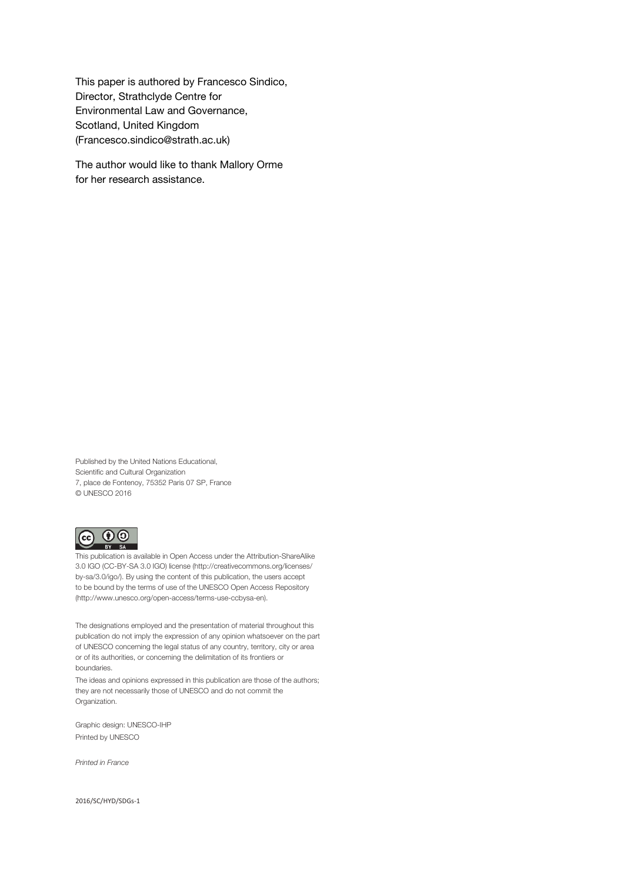This paper is authored by Francesco Sindico, Director, Strathclyde Centre for Environmental Law and Governance, Scotland, United Kingdom (Francesco.sindico@strath.ac.uk)

The author would like to thank Mallory Orme for her research assistance.

Published by the United Nations Educational, Scientific and Cultural Organization 7, place de Fontenoy, 75352 Paris 07 SP, France © UNESCO 2016



This publication is available in Open Access under the Attribution-ShareAlike 3.0 IGO (CC-BY-SA 3.0 IGO) license (http://creativecommons.org/licenses/ by-sa/3.0/igo/). By using the content of this publication, the users accept to be bound by the terms of use of the UNESCO Open Access Repository (http://www.unesco.org/open-access/terms-use-ccbysa-en).

The designations employed and the presentation of material throughout this publication do not imply the expression of any opinion whatsoever on the part of UNESCO concerning the legal status of any country, territory, city or area or of its authorities, or concerning the delimitation of its frontiers or boundaries.

The ideas and opinions expressed in this publication are those of the authors; they are not necessarily those of UNESCO and do not commit the Organization.

Graphic design: UNESCO-IHP Printed by UNESCO

*Printed in France* 

2016/SC/HYD/SDGs-1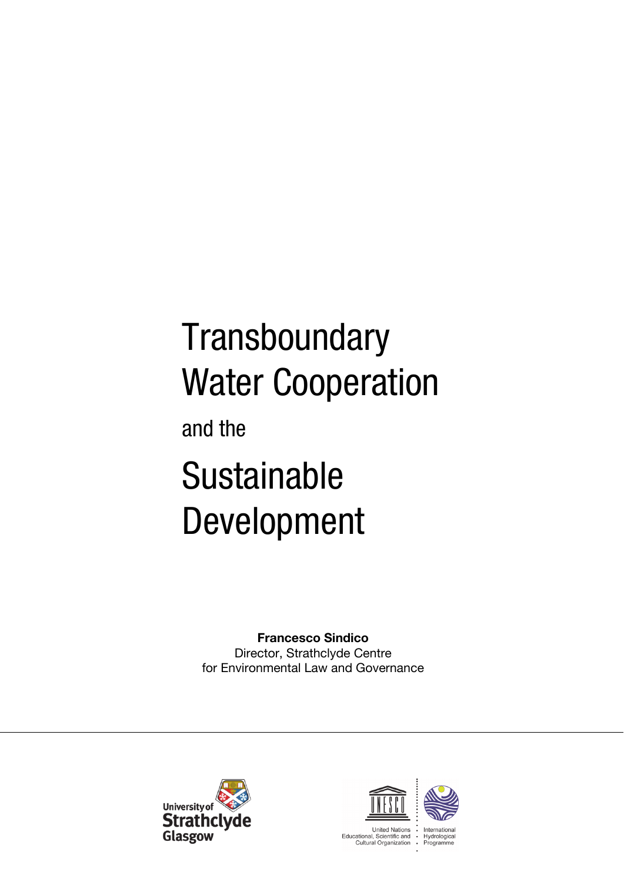# **Transboundary** Water Cooperation

and the

# Sustainable Development

**Francesco Sindico**  Director, Strathclyde Centre for Environmental Law and Governance



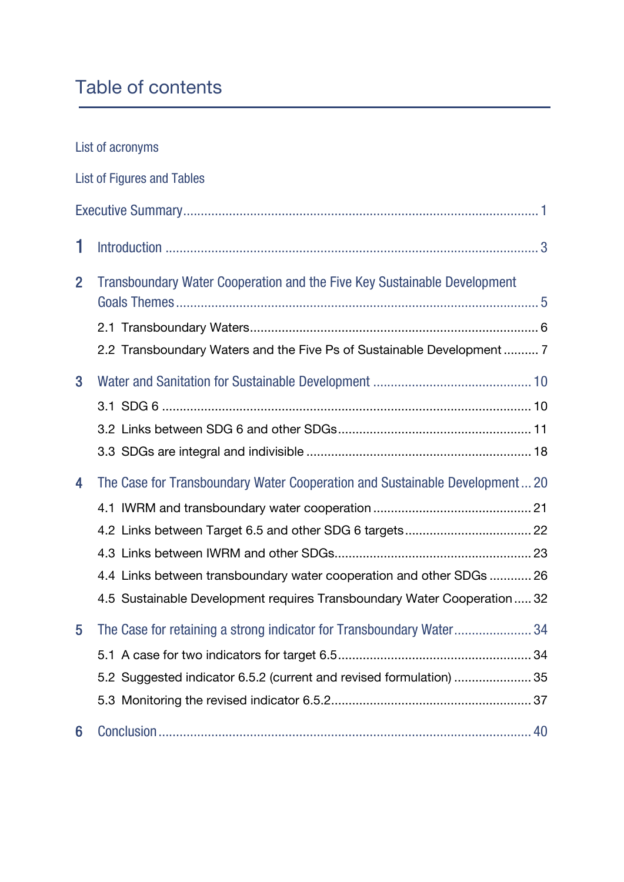### Table of contents

|                | List of acronyms                                                           |
|----------------|----------------------------------------------------------------------------|
|                | List of Figures and Tables                                                 |
|                |                                                                            |
| 1              |                                                                            |
| $\overline{2}$ | Transboundary Water Cooperation and the Five Key Sustainable Development   |
|                |                                                                            |
|                | 2.2 Transboundary Waters and the Five Ps of Sustainable Development  7     |
| 3              |                                                                            |
|                |                                                                            |
|                |                                                                            |
|                |                                                                            |
| 4              | The Case for Transboundary Water Cooperation and Sustainable Development20 |
|                |                                                                            |
|                |                                                                            |
|                |                                                                            |
|                | 4.4 Links between transboundary water cooperation and other SDGs  26       |
|                | 4.5 Sustainable Development requires Transboundary Water Cooperation32     |
| 5              |                                                                            |
|                |                                                                            |
|                | 5.2 Suggested indicator 6.5.2 (current and revised formulation)  35        |
|                |                                                                            |
| 6              |                                                                            |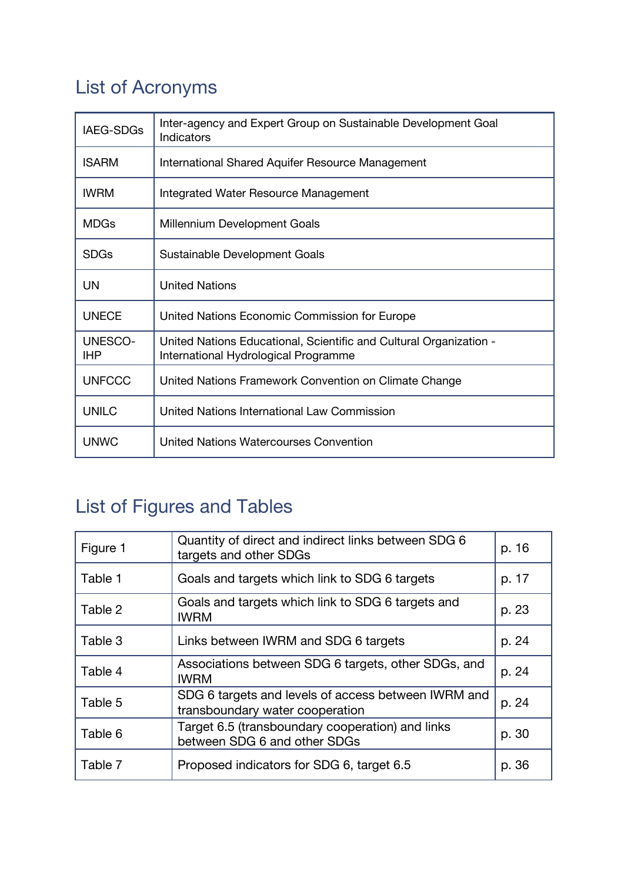### List of Acronyms

| IAEG-SDGs                                                        | Inter-agency and Expert Group on Sustainable Development Goal<br><b>Indicators</b>                         |  |  |
|------------------------------------------------------------------|------------------------------------------------------------------------------------------------------------|--|--|
| <b>ISARM</b><br>International Shared Aquifer Resource Management |                                                                                                            |  |  |
| <b>IWRM</b>                                                      | Integrated Water Resource Management                                                                       |  |  |
| <b>MDGs</b><br>Millennium Development Goals                      |                                                                                                            |  |  |
| <b>SDGs</b>                                                      | Sustainable Development Goals                                                                              |  |  |
| UN<br><b>United Nations</b>                                      |                                                                                                            |  |  |
| <b>UNECE</b>                                                     | United Nations Economic Commission for Europe                                                              |  |  |
| <b>UNESCO-</b><br><b>IHP</b>                                     | United Nations Educational, Scientific and Cultural Organization -<br>International Hydrological Programme |  |  |
| <b>UNFCCC</b>                                                    | United Nations Framework Convention on Climate Change                                                      |  |  |
| <b>UNILC</b><br>United Nations International Law Commission      |                                                                                                            |  |  |
| <b>UNWC</b>                                                      | United Nations Watercourses Convention                                                                     |  |  |

### List of Figures and Tables

| Figure 1                                                                                    | Quantity of direct and indirect links between SDG 6<br>targets and other SDGs          |       |  |
|---------------------------------------------------------------------------------------------|----------------------------------------------------------------------------------------|-------|--|
| Table 1                                                                                     | Goals and targets which link to SDG 6 targets                                          |       |  |
| Goals and targets which link to SDG 6 targets and<br>Table 2<br><b>IWRM</b>                 |                                                                                        | p. 23 |  |
| Table 3<br>Links between IWRM and SDG 6 targets                                             |                                                                                        | p. 24 |  |
| Associations between SDG 6 targets, other SDGs, and<br>Table 4<br><b>IWRM</b>               |                                                                                        | p. 24 |  |
| Table 5                                                                                     | SDG 6 targets and levels of access between IWRM and<br>transboundary water cooperation | p. 24 |  |
| Target 6.5 (transboundary cooperation) and links<br>Table 6<br>between SDG 6 and other SDGs |                                                                                        | p. 30 |  |
| Table 7                                                                                     | Proposed indicators for SDG 6, target 6.5                                              | p. 36 |  |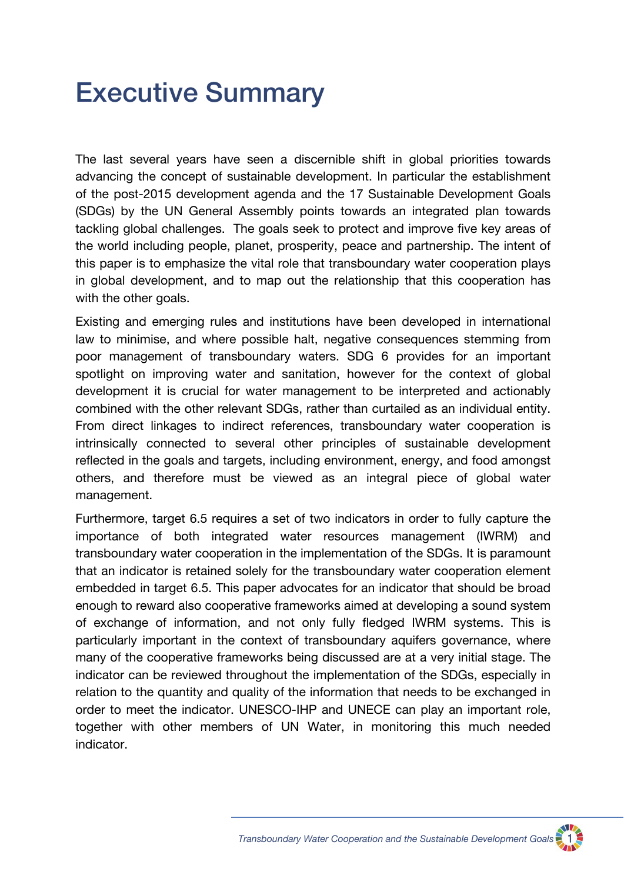## Executive Summary

The last several years have seen a discernible shift in global priorities towards advancing the concept of sustainable development. In particular the establishment of the post-2015 development agenda and the 17 Sustainable Development Goals (SDGs) by the UN General Assembly points towards an integrated plan towards tackling global challenges. The goals seek to protect and improve five key areas of the world including people, planet, prosperity, peace and partnership. The intent of this paper is to emphasize the vital role that transboundary water cooperation plays in global development, and to map out the relationship that this cooperation has with the other goals.

Existing and emerging rules and institutions have been developed in international law to minimise, and where possible halt, negative consequences stemming from poor management of transboundary waters. SDG 6 provides for an important spotlight on improving water and sanitation, however for the context of global development it is crucial for water management to be interpreted and actionably combined with the other relevant SDGs, rather than curtailed as an individual entity. From direct linkages to indirect references, transboundary water cooperation is intrinsically connected to several other principles of sustainable development reflected in the goals and targets, including environment, energy, and food amongst others, and therefore must be viewed as an integral piece of global water management.

Furthermore, target 6.5 requires a set of two indicators in order to fully capture the importance of both integrated water resources management (IWRM) and transboundary water cooperation in the implementation of the SDGs. It is paramount that an indicator is retained solely for the transboundary water cooperation element embedded in target 6.5. This paper advocates for an indicator that should be broad enough to reward also cooperative frameworks aimed at developing a sound system of exchange of information, and not only fully fledged IWRM systems. This is particularly important in the context of transboundary aquifers governance, where many of the cooperative frameworks being discussed are at a very initial stage. The indicator can be reviewed throughout the implementation of the SDGs, especially in relation to the quantity and quality of the information that needs to be exchanged in order to meet the indicator. UNESCO-IHP and UNECE can play an important role, together with other members of UN Water, in monitoring this much needed indicator.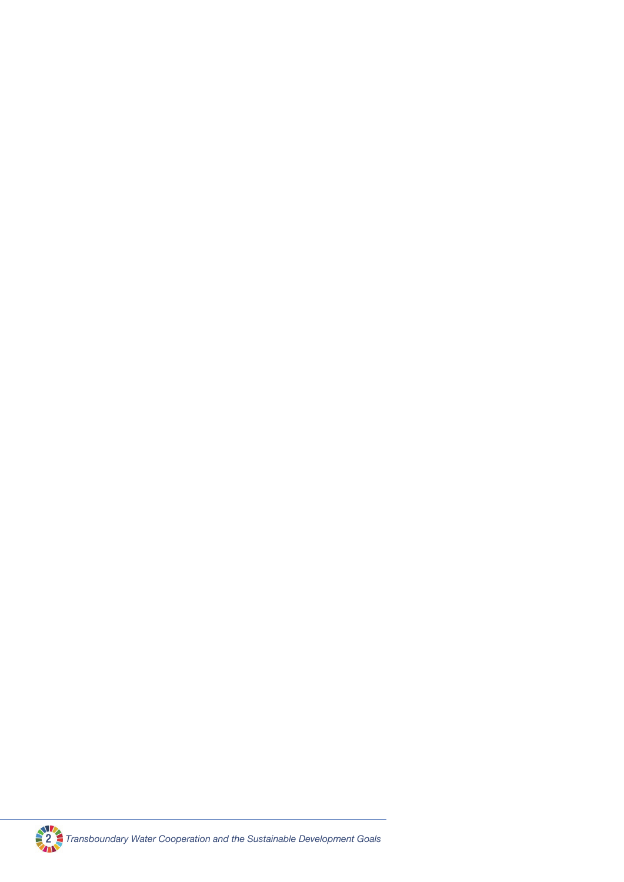

 *Transboundary Water Cooperation and the Sustainable Development Goals*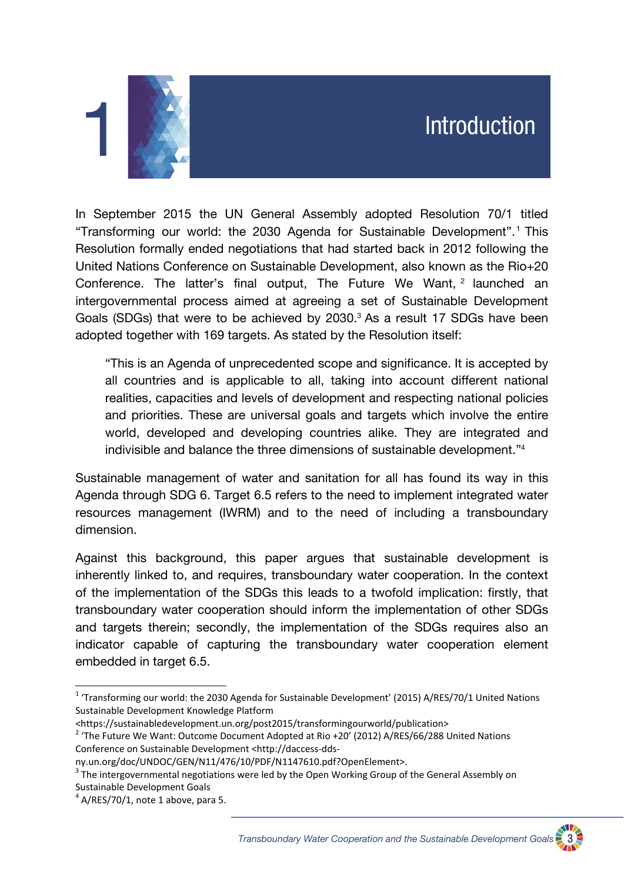

In September 2015 the UN General Assembly adopted Resolution 70/1 titled "Transforming our world: the 2030 Agenda for Sustainable Development". 1 This Resolution formally ended negotiations that had started back in 2012 following the United Nations Conference on Sustainable Development, also known as the Rio+20 Conference. The latter's final output, The Future We Want, <sup>2</sup> launched an intergovernmental process aimed at agreeing a set of Sustainable Development Goals (SDGs) that were to be achieved by 2030.<sup>3</sup> As a result 17 SDGs have been adopted together with 169 targets. As stated by the Resolution itself:

"This is an Agenda of unprecedented scope and significance. It is accepted by all countries and is applicable to all, taking into account different national realities, capacities and levels of development and respecting national policies and priorities. These are universal goals and targets which involve the entire world, developed and developing countries alike. They are integrated and indivisible and balance the three dimensions of sustainable development."4

Sustainable management of water and sanitation for all has found its way in this Agenda through SDG 6. Target 6.5 refers to the need to implement integrated water resources management (IWRM) and to the need of including a transboundary dimension.

Against this background, this paper argues that sustainable development is inherently linked to, and requires, transboundary water cooperation. In the context of the implementation of the SDGs this leads to a twofold implication: firstly, that transboundary water cooperation should inform the implementation of other SDGs and targets therein; secondly, the implementation of the SDGs requires also an indicator capable of capturing the transboundary water cooperation element embedded in target 6.5.

1

<sup>&</sup>lt;sup>1</sup> 'Transforming our world: the 2030 Agenda for Sustainable Development' (2015) A/RES/70/1 United Nations Sustainable Development Knowledge Platform

<sup>&</sup>lt;https://sustainabledevelopment.un.org/post2015/transformingourworld/publication><br><sup>2</sup> 'The Future We Want: Outcome Document Adopted at Rio +20' (2012) A/RES/66/288 United Nations Conference on Sustainable Development <http://daccess-dds-

ny.un.org/doc/UNDOC/GEN/N11/476/10/PDF/N1147610.pdf?OpenElement>.

 $3$  The intergovernmental negotiations were led by the Open Working Group of the General Assembly on Sustainable Development Goals

 $4$  A/RES/70/1, note 1 above, para 5.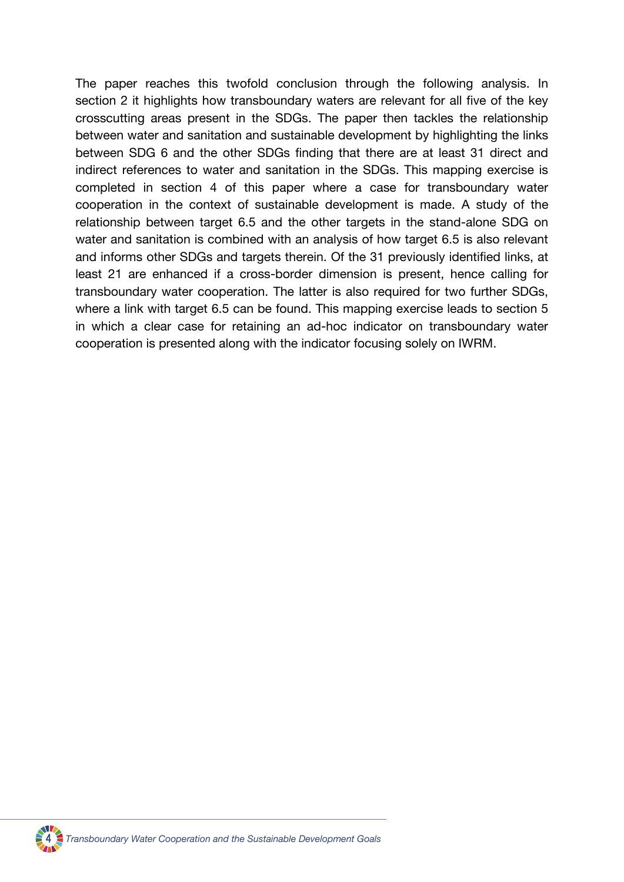The paper reaches this twofold conclusion through the following analysis. In section 2 it highlights how transboundary waters are relevant for all five of the key crosscutting areas present in the SDGs. The paper then tackles the relationship between water and sanitation and sustainable development by highlighting the links between SDG 6 and the other SDGs finding that there are at least 31 direct and indirect references to water and sanitation in the SDGs. This mapping exercise is completed in section 4 of this paper where a case for transboundary water cooperation in the context of sustainable development is made. A study of the relationship between target 6.5 and the other targets in the stand-alone SDG on water and sanitation is combined with an analysis of how target 6.5 is also relevant and informs other SDGs and targets therein. Of the 31 previously identified links, at least 21 are enhanced if a cross-border dimension is present, hence calling for transboundary water cooperation. The latter is also required for two further SDGs, where a link with target 6.5 can be found. This mapping exercise leads to section 5 in which a clear case for retaining an ad-hoc indicator on transboundary water cooperation is presented along with the indicator focusing solely on IWRM.

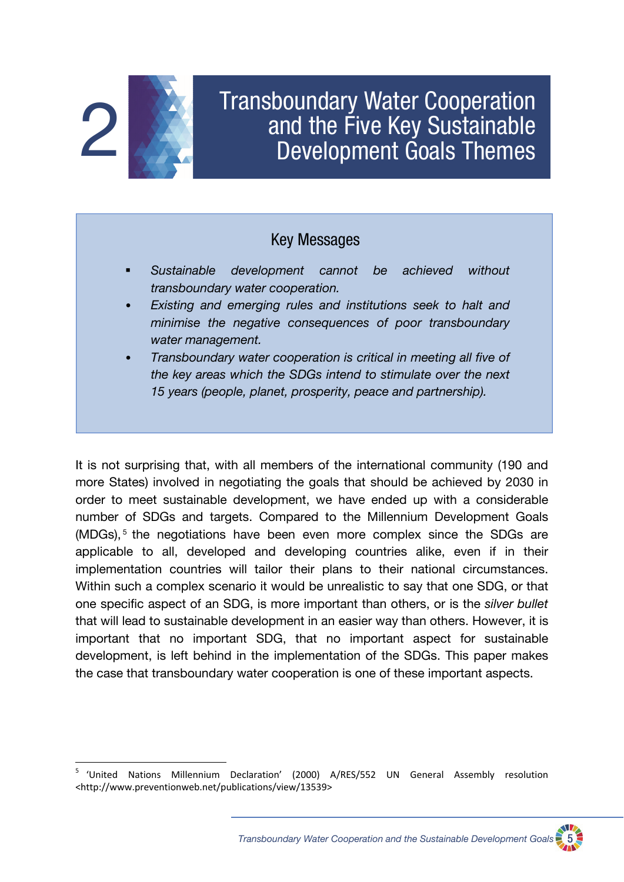

**.** 

### **Transboundary Water Cooperation** and the Five Key Sustainable Development Goals Themes

### Key Messages

- *Sustainable development cannot be achieved without transboundary water cooperation.*
- *Existing and emerging rules and institutions seek to halt and minimise the negative consequences of poor transboundary water management.*
- *Transboundary water cooperation is critical in meeting all five of the key areas which the SDGs intend to stimulate over the next 15 years (people, planet, prosperity, peace and partnership).*

It is not surprising that, with all members of the international community (190 and more States) involved in negotiating the goals that should be achieved by 2030 in order to meet sustainable development, we have ended up with a considerable number of SDGs and targets. Compared to the Millennium Development Goals (MDGs), 5 the negotiations have been even more complex since the SDGs are applicable to all, developed and developing countries alike, even if in their implementation countries will tailor their plans to their national circumstances. Within such a complex scenario it would be unrealistic to say that one SDG, or that one specific aspect of an SDG, is more important than others, or is the *silver bullet* that will lead to sustainable development in an easier way than others. However, it is important that no important SDG, that no important aspect for sustainable development, is left behind in the implementation of the SDGs. This paper makes the case that transboundary water cooperation is one of these important aspects.

<sup>5 &#</sup>x27;United Nations Millennium Declaration' (2000) A/RES/552 UN General Assembly resolution <http://www.preventionweb.net/publications/view/13539>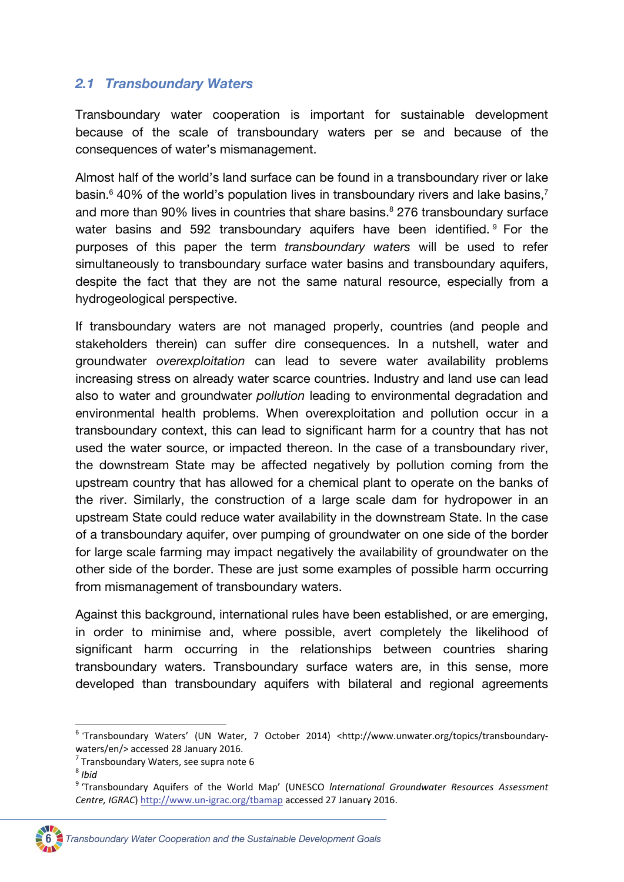#### *2.1 Transboundary Waters*

Transboundary water cooperation is important for sustainable development because of the scale of transboundary waters per se and because of the consequences of water's mismanagement.

Almost half of the world's land surface can be found in a transboundary river or lake basin.<sup>6</sup> 40% of the world's population lives in transboundary rivers and lake basins,<sup>7</sup> and more than 90% lives in countries that share basins.<sup>8</sup> 276 transboundary surface water basins and 592 transboundary aquifers have been identified. <sup>9</sup> For the purposes of this paper the term *transboundary waters* will be used to refer simultaneously to transboundary surface water basins and transboundary aquifers, despite the fact that they are not the same natural resource, especially from a hydrogeological perspective.

If transboundary waters are not managed properly, countries (and people and stakeholders therein) can suffer dire consequences. In a nutshell, water and groundwater *overexploitation* can lead to severe water availability problems increasing stress on already water scarce countries. Industry and land use can lead also to water and groundwater *pollution* leading to environmental degradation and environmental health problems. When overexploitation and pollution occur in a transboundary context, this can lead to significant harm for a country that has not used the water source, or impacted thereon. In the case of a transboundary river, the downstream State may be affected negatively by pollution coming from the upstream country that has allowed for a chemical plant to operate on the banks of the river. Similarly, the construction of a large scale dam for hydropower in an upstream State could reduce water availability in the downstream State. In the case of a transboundary aquifer, over pumping of groundwater on one side of the border for large scale farming may impact negatively the availability of groundwater on the other side of the border. These are just some examples of possible harm occurring from mismanagement of transboundary waters.

Against this background, international rules have been established, or are emerging, in order to minimise and, where possible, avert completely the likelihood of significant harm occurring in the relationships between countries sharing transboundary waters. Transboundary surface waters are, in this sense, more developed than transboundary aquifers with bilateral and regional agreements

<sup>9</sup> 'Transboundary Aquifers of the World Map' (UNESCO *lnternational Groundwater Resources Assessment Centre, IGRAC*) http://www.un-igrac.org/tbamap accessed 27 January 2016.



<sup>6</sup> 'Transboundary Waters' (UN Water, 7 October 2014) <http://www.unwater.org/topics/transboundarywaters/en/> accessed 28 January 2016.

 $7$  Transboundary Waters, see supra note 6

<sup>8</sup> *Ibid*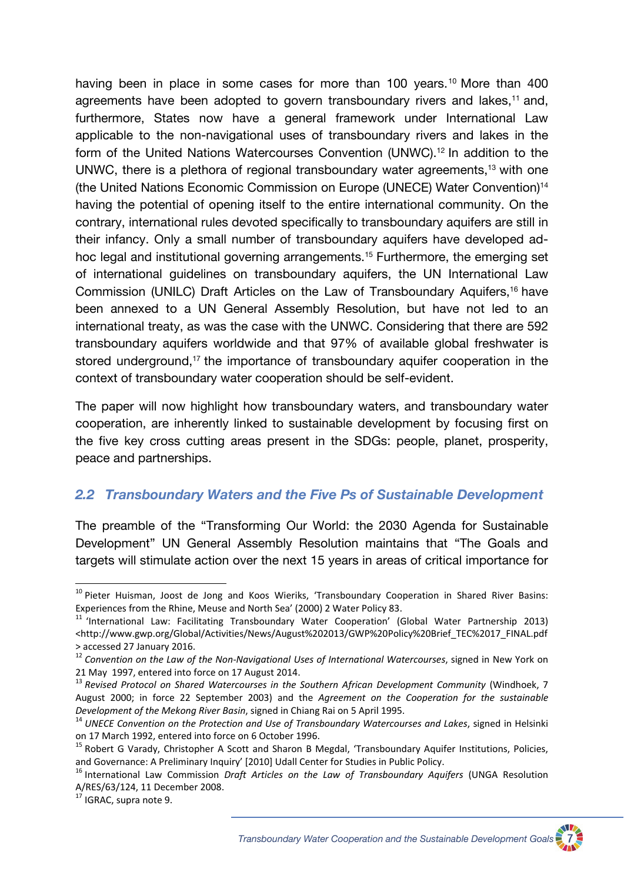having been in place in some cases for more than 100 years.<sup>10</sup> More than 400 agreements have been adopted to govern transboundary rivers and lakes,<sup>11</sup> and, furthermore, States now have a general framework under International Law applicable to the non-navigational uses of transboundary rivers and lakes in the form of the United Nations Watercourses Convention (UNWC).12 In addition to the UNWC, there is a plethora of regional transboundary water agreements,13 with one (the United Nations Economic Commission on Europe (UNECE) Water Convention)14 having the potential of opening itself to the entire international community. On the contrary, international rules devoted specifically to transboundary aquifers are still in their infancy. Only a small number of transboundary aquifers have developed adhoc legal and institutional governing arrangements.<sup>15</sup> Furthermore, the emerging set of international guidelines on transboundary aquifers, the UN International Law Commission (UNILC) Draft Articles on the Law of Transboundary Aquifers,<sup>16</sup> have been annexed to a UN General Assembly Resolution, but have not led to an international treaty, as was the case with the UNWC. Considering that there are 592 transboundary aquifers worldwide and that 97% of available global freshwater is stored underground,<sup>17</sup> the importance of transboundary aquifer cooperation in the context of transboundary water cooperation should be self-evident.

The paper will now highlight how transboundary waters, and transboundary water cooperation, are inherently linked to sustainable development by focusing first on the five key cross cutting areas present in the SDGs: people, planet, prosperity, peace and partnerships.

#### *2.2 Transboundary Waters and the Five Ps of Sustainable Development*

The preamble of the "Transforming Our World: the 2030 Agenda for Sustainable Development" UN General Assembly Resolution maintains that "The Goals and targets will stimulate action over the next 15 years in areas of critical importance for

<sup>&</sup>lt;sup>10</sup> Pieter Huisman, Joost de Jong and Koos Wieriks, 'Transboundary Cooperation in Shared River Basins: Experiences from the Rhine, Meuse and North Sea' (2000) 2 Water Policy 83.

 $11$  'International Law: Facilitating Transboundary Water Cooperation' (Global Water Partnership 2013) <http://www.gwp.org/Global/Activities/News/August%202013/GWP%20Policy%20Brief\_TEC%2017\_FINAL.pdf > accessed 27 January 2016.

<sup>12</sup> *Convention on the Law of the Non-Navigational Uses of International Watercourses*, signed in New York on 21 May 1997, entered into force on 17 August 2014.

<sup>&</sup>lt;sup>13</sup> Revised Protocol on Shared Watercourses in the Southern African Development Community (Windhoek, 7 August 2000; in force 22 September 2003) and the *Agreement on the Cooperation for the sustainable Development of the Mekong River Basin,* signed in Chiang Rai on 5 April 1995.<br><sup>14</sup> UNECE Convention on the Protection and Use of Transboundary Watercourses and Lakes, signed in Helsinki

on 17 March 1992, entered into force on 6 October 1996.

<sup>&</sup>lt;sup>15</sup> Robert G Varady, Christopher A Scott and Sharon B Megdal, 'Transboundary Aquifer Institutions, Policies, and Governance: A Preliminary Inquiry' [2010] Udall Center for Studies in Public Policy.<br><sup>16</sup> International Law Commission *Draft Articles on the Law of Transboundary Aquifers* (UNGA Resolution

A/RES/63/124, 11 December 2008.

 $17$  IGRAC, supra note 9.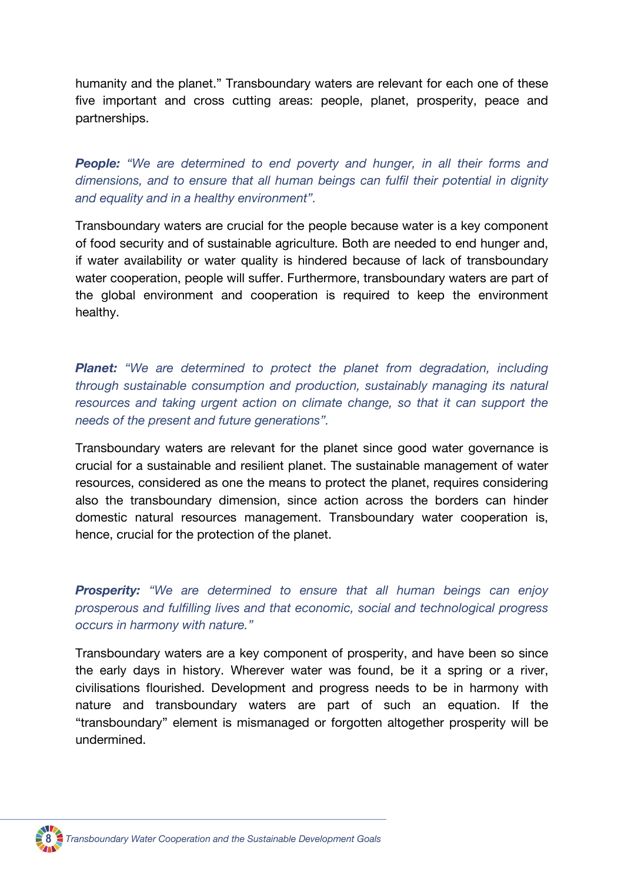humanity and the planet." Transboundary waters are relevant for each one of these five important and cross cutting areas: people, planet, prosperity, peace and partnerships.

*People: "We are determined to end poverty and hunger, in all their forms and dimensions, and to ensure that all human beings can fulfil their potential in dignity and equality and in a healthy environment".* 

Transboundary waters are crucial for the people because water is a key component of food security and of sustainable agriculture. Both are needed to end hunger and, if water availability or water quality is hindered because of lack of transboundary water cooperation, people will suffer. Furthermore, transboundary waters are part of the global environment and cooperation is required to keep the environment healthy.

**Planet:** "We are determined to protect the planet from degradation, including *through sustainable consumption and production, sustainably managing its natural resources and taking urgent action on climate change, so that it can support the needs of the present and future generations".* 

Transboundary waters are relevant for the planet since good water governance is crucial for a sustainable and resilient planet. The sustainable management of water resources, considered as one the means to protect the planet, requires considering also the transboundary dimension, since action across the borders can hinder domestic natural resources management. Transboundary water cooperation is, hence, crucial for the protection of the planet.

*Prosperity: "We are determined to ensure that all human beings can enjoy prosperous and fulfilling lives and that economic, social and technological progress occurs in harmony with nature."* 

Transboundary waters are a key component of prosperity, and have been so since the early days in history. Wherever water was found, be it a spring or a river, civilisations flourished. Development and progress needs to be in harmony with nature and transboundary waters are part of such an equation. If the "transboundary" element is mismanaged or forgotten altogether prosperity will be undermined.

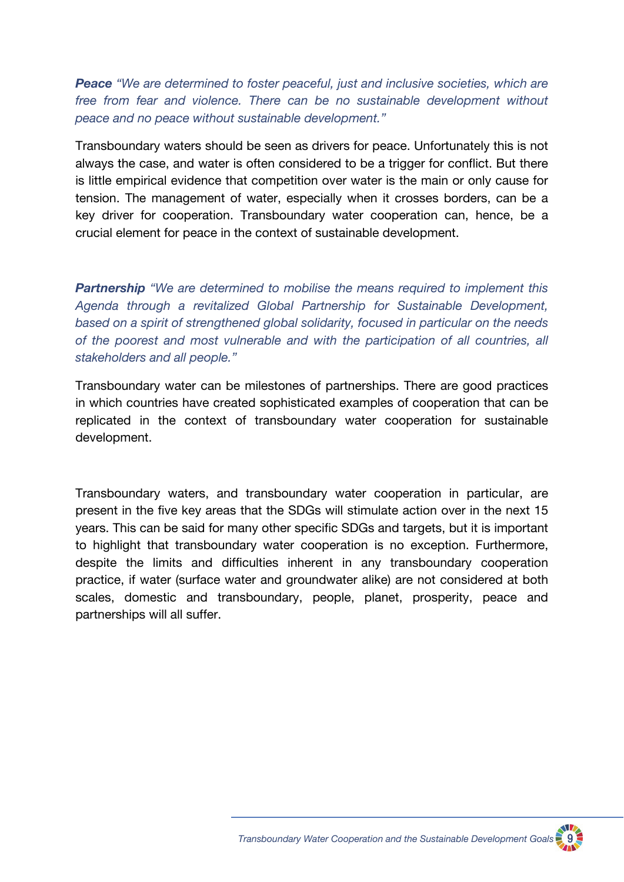*Peace "We are determined to foster peaceful, just and inclusive societies, which are free from fear and violence. There can be no sustainable development without peace and no peace without sustainable development."* 

Transboundary waters should be seen as drivers for peace. Unfortunately this is not always the case, and water is often considered to be a trigger for conflict. But there is little empirical evidence that competition over water is the main or only cause for tension. The management of water, especially when it crosses borders, can be a key driver for cooperation. Transboundary water cooperation can, hence, be a crucial element for peace in the context of sustainable development.

*Partnership "We are determined to mobilise the means required to implement this Agenda through a revitalized Global Partnership for Sustainable Development, based on a spirit of strengthened global solidarity, focused in particular on the needs of the poorest and most vulnerable and with the participation of all countries, all stakeholders and all people."* 

Transboundary water can be milestones of partnerships. There are good practices in which countries have created sophisticated examples of cooperation that can be replicated in the context of transboundary water cooperation for sustainable development.

Transboundary waters, and transboundary water cooperation in particular, are present in the five key areas that the SDGs will stimulate action over in the next 15 years. This can be said for many other specific SDGs and targets, but it is important to highlight that transboundary water cooperation is no exception. Furthermore, despite the limits and difficulties inherent in any transboundary cooperation practice, if water (surface water and groundwater alike) are not considered at both scales, domestic and transboundary, people, planet, prosperity, peace and partnerships will all suffer.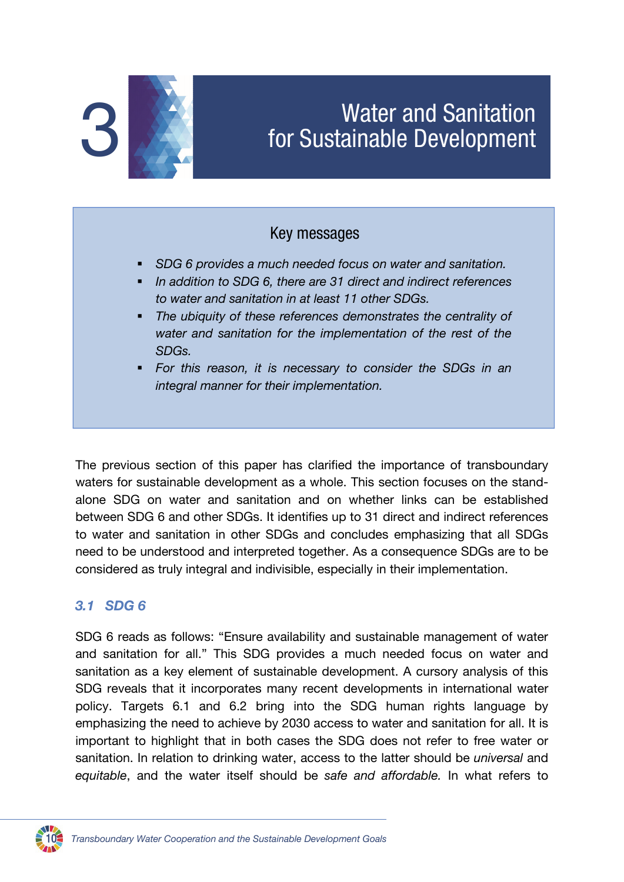

## Water and Sanitation<br>for Sustainable Development for Sustainable Development

#### Key messages

- *SDG 6 provides a much needed focus on water and sanitation.*
- *In addition to SDG 6, there are 31 direct and indirect references to water and sanitation in at least 11 other SDGs.*
- *The ubiquity of these references demonstrates the centrality of water and sanitation for the implementation of the rest of the SDGs.*
- *For this reason, it is necessary to consider the SDGs in an integral manner for their implementation.*

The previous section of this paper has clarified the importance of transboundary waters for sustainable development as a whole. This section focuses on the standalone SDG on water and sanitation and on whether links can be established between SDG 6 and other SDGs. It identifies up to 31 direct and indirect references to water and sanitation in other SDGs and concludes emphasizing that all SDGs need to be understood and interpreted together. As a consequence SDGs are to be considered as truly integral and indivisible, especially in their implementation.

#### *3.1 SDG 6*

SDG 6 reads as follows: "Ensure availability and sustainable management of water and sanitation for all." This SDG provides a much needed focus on water and sanitation as a key element of sustainable development. A cursory analysis of this SDG reveals that it incorporates many recent developments in international water policy. Targets 6.1 and 6.2 bring into the SDG human rights language by emphasizing the need to achieve by 2030 access to water and sanitation for all. It is important to highlight that in both cases the SDG does not refer to free water or sanitation. In relation to drinking water, access to the latter should be *universal* and *equitable*, and the water itself should be *safe and affordable.* In what refers to

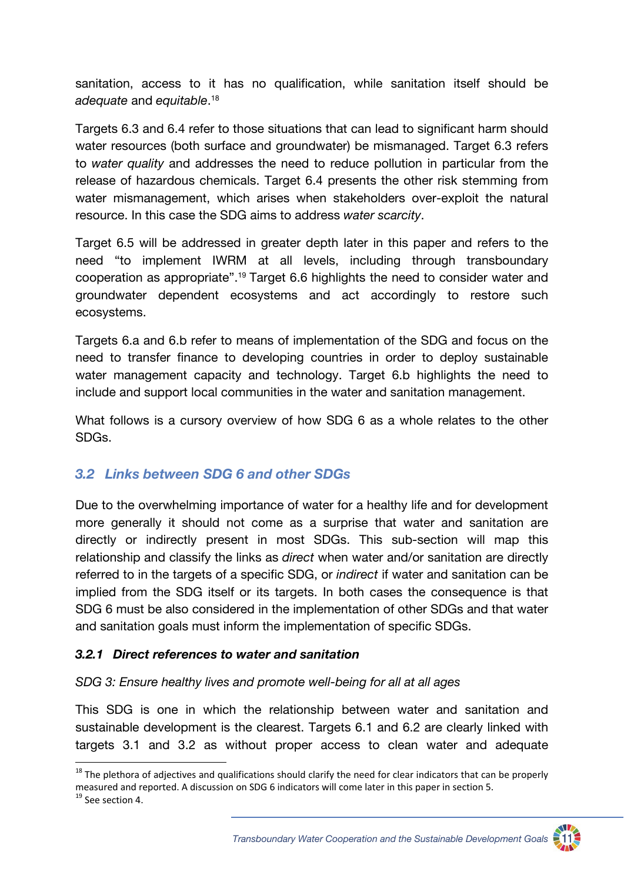sanitation, access to it has no qualification, while sanitation itself should be *adequate* and *equitable*. 18

Targets 6.3 and 6.4 refer to those situations that can lead to significant harm should water resources (both surface and groundwater) be mismanaged. Target 6.3 refers to *water quality* and addresses the need to reduce pollution in particular from the release of hazardous chemicals. Target 6.4 presents the other risk stemming from water mismanagement, which arises when stakeholders over-exploit the natural resource. In this case the SDG aims to address *water scarcity*.

Target 6.5 will be addressed in greater depth later in this paper and refers to the need "to implement IWRM at all levels, including through transboundary cooperation as appropriate".19 Target 6.6 highlights the need to consider water and groundwater dependent ecosystems and act accordingly to restore such ecosystems.

Targets 6.a and 6.b refer to means of implementation of the SDG and focus on the need to transfer finance to developing countries in order to deploy sustainable water management capacity and technology. Target 6.b highlights the need to include and support local communities in the water and sanitation management.

What follows is a cursory overview of how SDG 6 as a whole relates to the other SDGs.

#### *3.2 Links between SDG 6 and other SDGs*

Due to the overwhelming importance of water for a healthy life and for development more generally it should not come as a surprise that water and sanitation are directly or indirectly present in most SDGs. This sub-section will map this relationship and classify the links as *direct* when water and/or sanitation are directly referred to in the targets of a specific SDG, or *indirect* if water and sanitation can be implied from the SDG itself or its targets. In both cases the consequence is that SDG 6 must be also considered in the implementation of other SDGs and that water and sanitation goals must inform the implementation of specific SDGs.

#### *3.2.1 Direct references to water and sanitation*

#### *SDG 3: Ensure healthy lives and promote well-being for all at all ages*

This SDG is one in which the relationship between water and sanitation and sustainable development is the clearest. Targets 6.1 and 6.2 are clearly linked with targets 3.1 and 3.2 as without proper access to clean water and adequate



 $18$  The plethora of adjectives and qualifications should clarify the need for clear indicators that can be properly measured and reported. A discussion on SDG 6 indicators will come later in this paper in section 5.<br><sup>19</sup> See section 4.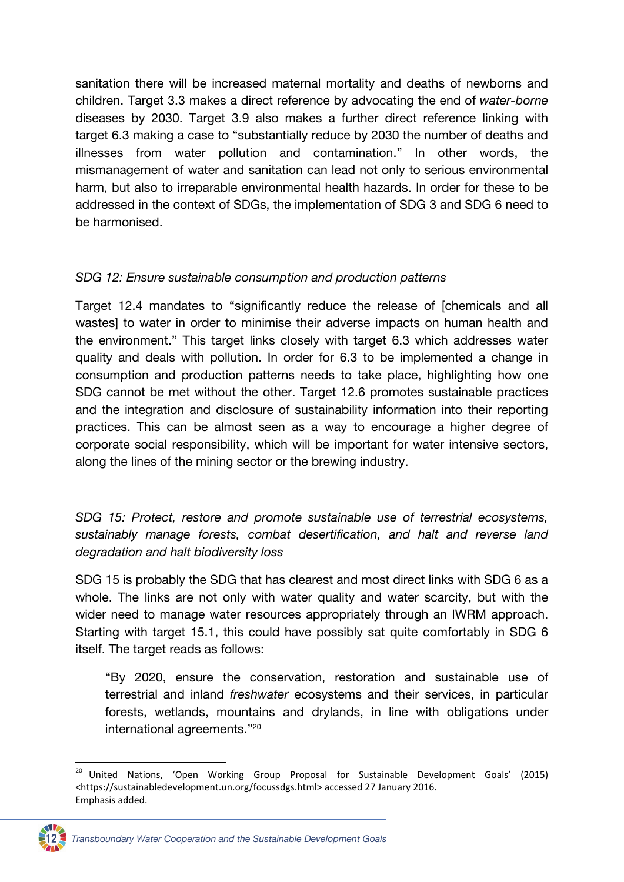sanitation there will be increased maternal mortality and deaths of newborns and children. Target 3.3 makes a direct reference by advocating the end of *water-borne* diseases by 2030. Target 3.9 also makes a further direct reference linking with target 6.3 making a case to "substantially reduce by 2030 the number of deaths and illnesses from water pollution and contamination." In other words, the mismanagement of water and sanitation can lead not only to serious environmental harm, but also to irreparable environmental health hazards. In order for these to be addressed in the context of SDGs, the implementation of SDG 3 and SDG 6 need to be harmonised.

#### *SDG 12: Ensure sustainable consumption and production patterns*

Target 12.4 mandates to "significantly reduce the release of [chemicals and all wastes] to water in order to minimise their adverse impacts on human health and the environment." This target links closely with target 6.3 which addresses water quality and deals with pollution. In order for 6.3 to be implemented a change in consumption and production patterns needs to take place, highlighting how one SDG cannot be met without the other. Target 12.6 promotes sustainable practices and the integration and disclosure of sustainability information into their reporting practices. This can be almost seen as a way to encourage a higher degree of corporate social responsibility, which will be important for water intensive sectors, along the lines of the mining sector or the brewing industry.

*SDG 15: Protect, restore and promote sustainable use of terrestrial ecosystems, sustainably manage forests, combat desertification, and halt and reverse land degradation and halt biodiversity loss* 

SDG 15 is probably the SDG that has clearest and most direct links with SDG 6 as a whole. The links are not only with water quality and water scarcity, but with the wider need to manage water resources appropriately through an IWRM approach. Starting with target 15.1, this could have possibly sat quite comfortably in SDG 6 itself. The target reads as follows:

"By 2020, ensure the conservation, restoration and sustainable use of terrestrial and inland *freshwater* ecosystems and their services, in particular forests, wetlands, mountains and drylands, in line with obligations under international agreements."20

**<sup>.</sup>** 20 United Nations, 'Open Working Group Proposal for Sustainable Development Goals' (2015) <https://sustainabledevelopment.un.org/focussdgs.html> accessed 27 January 2016. Emphasis added.

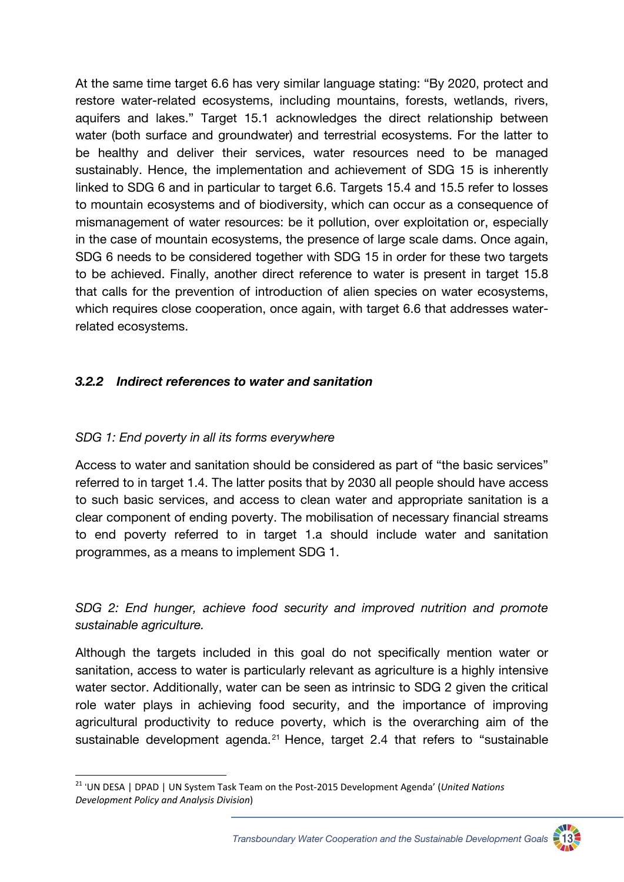At the same time target 6.6 has very similar language stating: "By 2020, protect and restore water-related ecosystems, including mountains, forests, wetlands, rivers, aquifers and lakes." Target 15.1 acknowledges the direct relationship between water (both surface and groundwater) and terrestrial ecosystems. For the latter to be healthy and deliver their services, water resources need to be managed sustainably. Hence, the implementation and achievement of SDG 15 is inherently linked to SDG 6 and in particular to target 6.6. Targets 15.4 and 15.5 refer to losses to mountain ecosystems and of biodiversity, which can occur as a consequence of mismanagement of water resources: be it pollution, over exploitation or, especially in the case of mountain ecosystems, the presence of large scale dams. Once again, SDG 6 needs to be considered together with SDG 15 in order for these two targets to be achieved. Finally, another direct reference to water is present in target 15.8 that calls for the prevention of introduction of alien species on water ecosystems, which requires close cooperation, once again, with target 6.6 that addresses waterrelated ecosystems.

#### *3.2.2 Indirect references to water and sanitation*

#### *SDG 1: End poverty in all its forms everywhere*

**.** 

Access to water and sanitation should be considered as part of "the basic services" referred to in target 1.4. The latter posits that by 2030 all people should have access to such basic services, and access to clean water and appropriate sanitation is a clear component of ending poverty. The mobilisation of necessary financial streams to end poverty referred to in target 1.a should include water and sanitation programmes, as a means to implement SDG 1.

#### *SDG 2: End hunger, achieve food security and improved nutrition and promote sustainable agriculture.*

Although the targets included in this goal do not specifically mention water or sanitation, access to water is particularly relevant as agriculture is a highly intensive water sector. Additionally, water can be seen as intrinsic to SDG 2 given the critical role water plays in achieving food security, and the importance of improving agricultural productivity to reduce poverty, which is the overarching aim of the sustainable development agenda.<sup>21</sup> Hence, target 2.4 that refers to "sustainable

<sup>21</sup> 'UN DESA | DPAD | UN System Task Team on the Post-2015 Development Agenda' (*United Nations Development Policy and Analysis Division*)

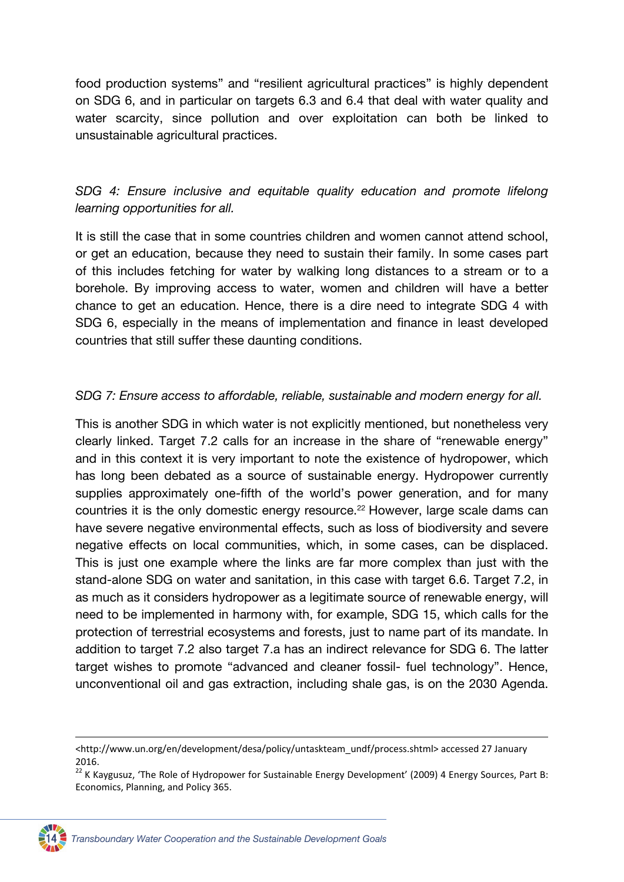food production systems" and "resilient agricultural practices" is highly dependent on SDG 6, and in particular on targets 6.3 and 6.4 that deal with water quality and water scarcity, since pollution and over exploitation can both be linked to unsustainable agricultural practices.

#### *SDG 4: Ensure inclusive and equitable quality education and promote lifelong learning opportunities for all.*

It is still the case that in some countries children and women cannot attend school, or get an education, because they need to sustain their family. In some cases part of this includes fetching for water by walking long distances to a stream or to a borehole. By improving access to water, women and children will have a better chance to get an education. Hence, there is a dire need to integrate SDG 4 with SDG 6, especially in the means of implementation and finance in least developed countries that still suffer these daunting conditions.

#### *SDG 7: Ensure access to affordable, reliable, sustainable and modern energy for all.*

This is another SDG in which water is not explicitly mentioned, but nonetheless very clearly linked. Target 7.2 calls for an increase in the share of "renewable energy" and in this context it is very important to note the existence of hydropower, which has long been debated as a source of sustainable energy. Hydropower currently supplies approximately one-fifth of the world's power generation, and for many countries it is the only domestic energy resource.<sup>22</sup> However, large scale dams can have severe negative environmental effects, such as loss of biodiversity and severe negative effects on local communities, which, in some cases, can be displaced. This is just one example where the links are far more complex than just with the stand-alone SDG on water and sanitation, in this case with target 6.6. Target 7.2, in as much as it considers hydropower as a legitimate source of renewable energy, will need to be implemented in harmony with, for example, SDG 15, which calls for the protection of terrestrial ecosystems and forests, just to name part of its mandate. In addition to target 7.2 also target 7.a has an indirect relevance for SDG 6. The latter target wishes to promote "advanced and cleaner fossil- fuel technology". Hence, unconventional oil and gas extraction, including shale gas, is on the 2030 Agenda.

<sup>&</sup>lt;sup>22</sup> K Kaygusuz, 'The Role of Hydropower for Sustainable Energy Development' (2009) 4 Energy Sources, Part B: Economics, Planning, and Policy 365.



 $\overline{a}$ 

<sup>&</sup>lt;http://www.un.org/en/development/desa/policy/untaskteam\_undf/process.shtml> accessed 27 January 2016.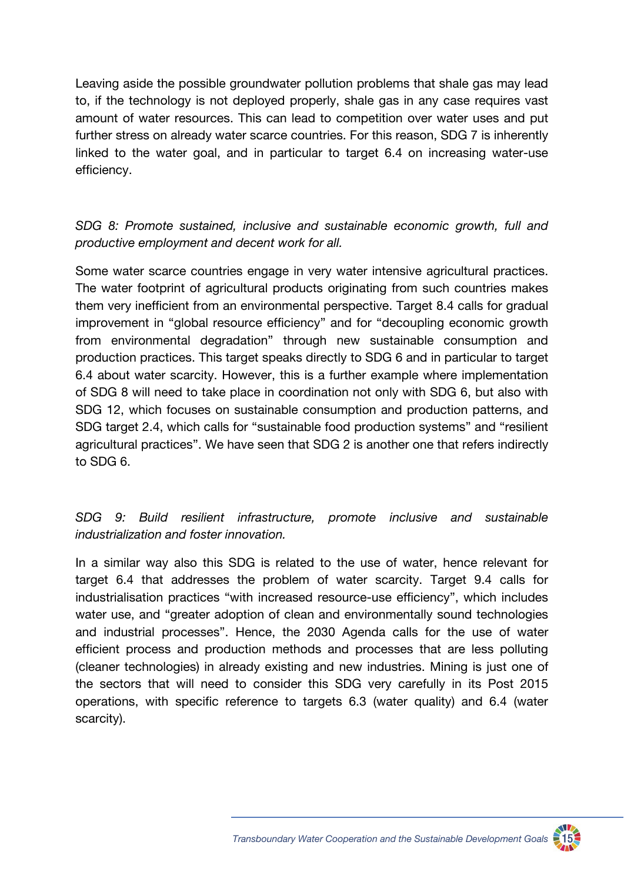Leaving aside the possible groundwater pollution problems that shale gas may lead to, if the technology is not deployed properly, shale gas in any case requires vast amount of water resources. This can lead to competition over water uses and put further stress on already water scarce countries. For this reason, SDG 7 is inherently linked to the water goal, and in particular to target 6.4 on increasing water-use efficiency.

#### *SDG 8: Promote sustained, inclusive and sustainable economic growth, full and productive employment and decent work for all.*

Some water scarce countries engage in very water intensive agricultural practices. The water footprint of agricultural products originating from such countries makes them very inefficient from an environmental perspective. Target 8.4 calls for gradual improvement in "global resource efficiency" and for "decoupling economic growth from environmental degradation" through new sustainable consumption and production practices. This target speaks directly to SDG 6 and in particular to target 6.4 about water scarcity. However, this is a further example where implementation of SDG 8 will need to take place in coordination not only with SDG 6, but also with SDG 12, which focuses on sustainable consumption and production patterns, and SDG target 2.4, which calls for "sustainable food production systems" and "resilient agricultural practices". We have seen that SDG 2 is another one that refers indirectly to SDG 6.

#### *SDG 9: Build resilient infrastructure, promote inclusive and sustainable industrialization and foster innovation.*

In a similar way also this SDG is related to the use of water, hence relevant for target 6.4 that addresses the problem of water scarcity. Target 9.4 calls for industrialisation practices "with increased resource-use efficiency", which includes water use, and "greater adoption of clean and environmentally sound technologies and industrial processes". Hence, the 2030 Agenda calls for the use of water efficient process and production methods and processes that are less polluting (cleaner technologies) in already existing and new industries. Mining is just one of the sectors that will need to consider this SDG very carefully in its Post 2015 operations, with specific reference to targets 6.3 (water quality) and 6.4 (water scarcity).



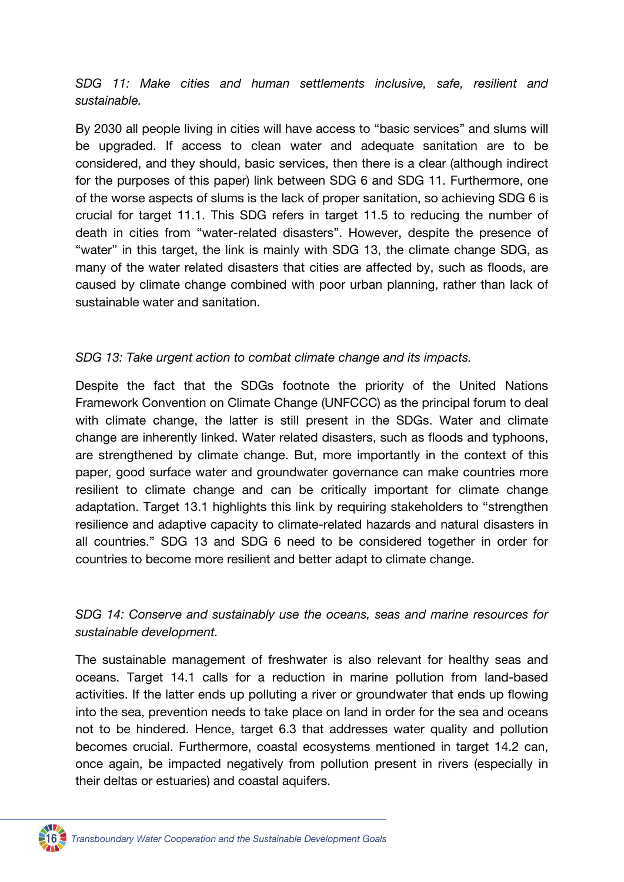*SDG 11: Make cities and human settlements inclusive, safe, resilient and sustainable.* 

By 2030 all people living in cities will have access to "basic services" and slums will be upgraded. If access to clean water and adequate sanitation are to be considered, and they should, basic services, then there is a clear (although indirect for the purposes of this paper) link between SDG 6 and SDG 11. Furthermore, one of the worse aspects of slums is the lack of proper sanitation, so achieving SDG 6 is crucial for target 11.1. This SDG refers in target 11.5 to reducing the number of death in cities from "water-related disasters". However, despite the presence of "water" in this target, the link is mainly with SDG 13, the climate change SDG, as many of the water related disasters that cities are affected by, such as floods, are caused by climate change combined with poor urban planning, rather than lack of sustainable water and sanitation.

#### *SDG 13: Take urgent action to combat climate change and its impacts.*

Despite the fact that the SDGs footnote the priority of the United Nations Framework Convention on Climate Change (UNFCCC) as the principal forum to deal with climate change, the latter is still present in the SDGs. Water and climate change are inherently linked. Water related disasters, such as floods and typhoons, are strengthened by climate change. But, more importantly in the context of this paper, good surface water and groundwater governance can make countries more resilient to climate change and can be critically important for climate change adaptation. Target 13.1 highlights this link by requiring stakeholders to "strengthen resilience and adaptive capacity to climate-related hazards and natural disasters in all countries." SDG 13 and SDG 6 need to be considered together in order for countries to become more resilient and better adapt to climate change.

#### *SDG 14: Conserve and sustainably use the oceans, seas and marine resources for sustainable development.*

The sustainable management of freshwater is also relevant for healthy seas and oceans. Target 14.1 calls for a reduction in marine pollution from land-based activities. If the latter ends up polluting a river or groundwater that ends up flowing into the sea, prevention needs to take place on land in order for the sea and oceans not to be hindered. Hence, target 6.3 that addresses water quality and pollution becomes crucial. Furthermore, coastal ecosystems mentioned in target 14.2 can, once again, be impacted negatively from pollution present in rivers (especially in their deltas or estuaries) and coastal aquifers.

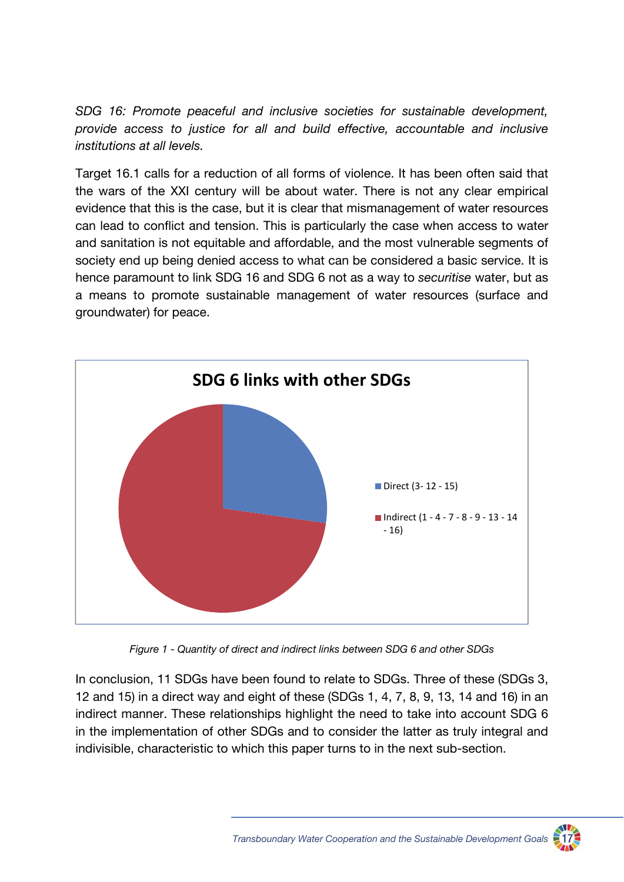*SDG 16: Promote peaceful and inclusive societies for sustainable development, provide access to justice for all and build effective, accountable and inclusive institutions at all levels.* 

Target 16.1 calls for a reduction of all forms of violence. It has been often said that the wars of the XXI century will be about water. There is not any clear empirical evidence that this is the case, but it is clear that mismanagement of water resources can lead to conflict and tension. This is particularly the case when access to water and sanitation is not equitable and affordable, and the most vulnerable segments of society end up being denied access to what can be considered a basic service. It is hence paramount to link SDG 16 and SDG 6 not as a way to *securitise* water, but as a means to promote sustainable management of water resources (surface and groundwater) for peace.



*Figure 1 - Quantity of direct and indirect links between SDG 6 and other SDGs* 

In conclusion, 11 SDGs have been found to relate to SDGs. Three of these (SDGs 3, 12 and 15) in a direct way and eight of these (SDGs 1, 4, 7, 8, 9, 13, 14 and 16) in an indirect manner. These relationships highlight the need to take into account SDG 6 in the implementation of other SDGs and to consider the latter as truly integral and indivisible, characteristic to which this paper turns to in the next sub-section.



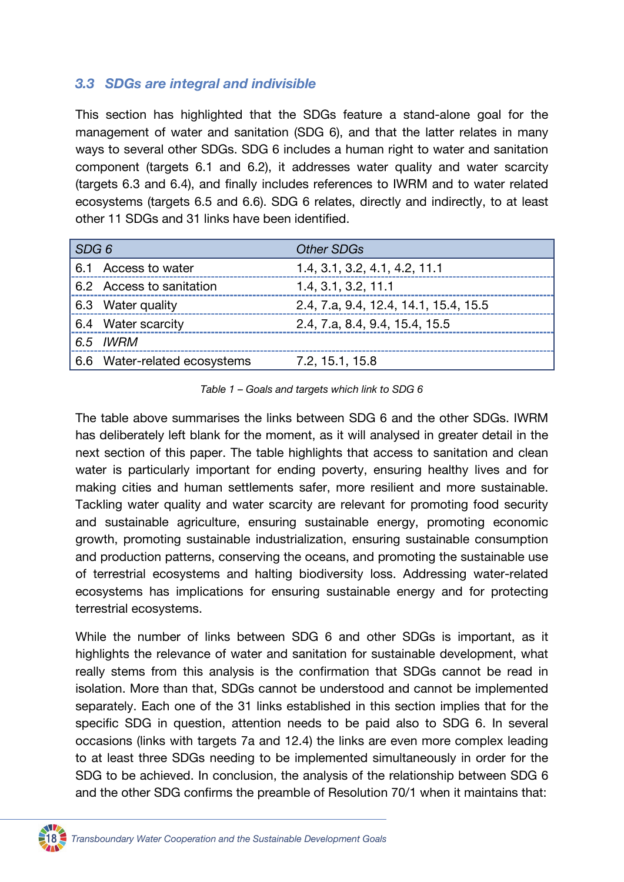#### *3.3 SDGs are integral and indivisible*

This section has highlighted that the SDGs feature a stand-alone goal for the management of water and sanitation (SDG 6), and that the latter relates in many ways to several other SDGs. SDG 6 includes a human right to water and sanitation component (targets 6.1 and 6.2), it addresses water quality and water scarcity (targets 6.3 and 6.4), and finally includes references to IWRM and to water related ecosystems (targets 6.5 and 6.6). SDG 6 relates, directly and indirectly, to at least other 11 SDGs and 31 links have been identified.

| SDG <sub>6</sub> |                              | <b>Other SDGs</b>                     |  |
|------------------|------------------------------|---------------------------------------|--|
|                  | 6.1 Access to water          | 1.4, 3.1, 3.2, 4.1, 4.2, 11.1         |  |
|                  | 6.2 Access to sanitation     | 1.4, 3.1, 3.2, 11.1                   |  |
|                  | 6.3 Water quality            | 2.4, 7.a, 9.4, 12.4, 14.1, 15.4, 15.5 |  |
|                  | 6.4 Water scarcity           | 2.4, 7.a, 8.4, 9.4, 15.4, 15.5        |  |
|                  | 6.5 IWRM                     |                                       |  |
|                  | 6.6 Water-related ecosystems | 7.2, 15.1, 15.8                       |  |

*Table 1 – Goals and targets which link to SDG 6* 

The table above summarises the links between SDG 6 and the other SDGs. IWRM has deliberately left blank for the moment, as it will analysed in greater detail in the next section of this paper. The table highlights that access to sanitation and clean water is particularly important for ending poverty, ensuring healthy lives and for making cities and human settlements safer, more resilient and more sustainable. Tackling water quality and water scarcity are relevant for promoting food security and sustainable agriculture, ensuring sustainable energy, promoting economic growth, promoting sustainable industrialization, ensuring sustainable consumption and production patterns, conserving the oceans, and promoting the sustainable use of terrestrial ecosystems and halting biodiversity loss. Addressing water-related ecosystems has implications for ensuring sustainable energy and for protecting terrestrial ecosystems.

While the number of links between SDG 6 and other SDGs is important, as it highlights the relevance of water and sanitation for sustainable development, what really stems from this analysis is the confirmation that SDGs cannot be read in isolation. More than that, SDGs cannot be understood and cannot be implemented separately. Each one of the 31 links established in this section implies that for the specific SDG in question, attention needs to be paid also to SDG 6. In several occasions (links with targets 7a and 12.4) the links are even more complex leading to at least three SDGs needing to be implemented simultaneously in order for the SDG to be achieved. In conclusion, the analysis of the relationship between SDG 6 and the other SDG confirms the preamble of Resolution 70/1 when it maintains that:

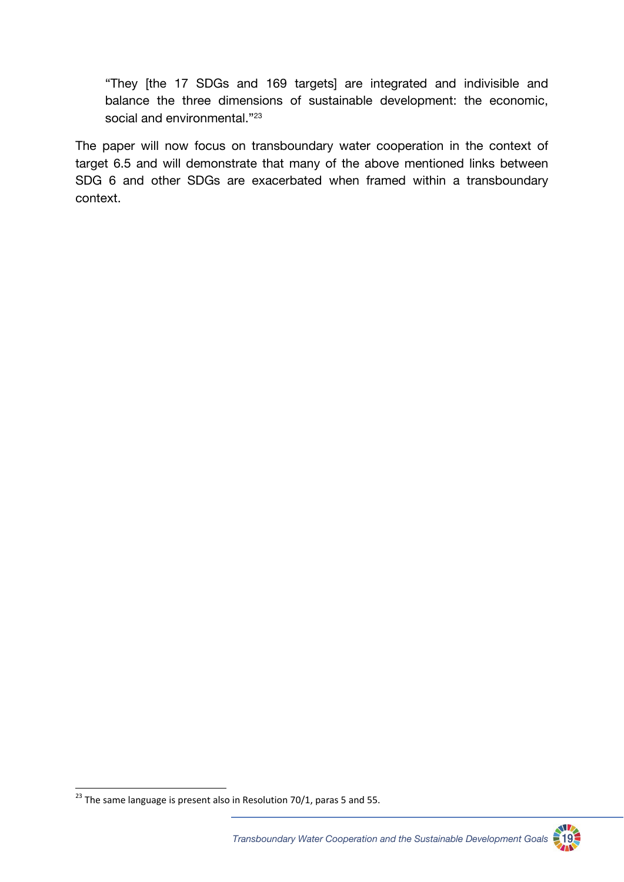"They [the 17 SDGs and 169 targets] are integrated and indivisible and balance the three dimensions of sustainable development: the economic, social and environmental."<sup>23</sup>

The paper will now focus on transboundary water cooperation in the context of target 6.5 and will demonstrate that many of the above mentioned links between SDG 6 and other SDGs are exacerbated when framed within a transboundary context.



 $^{23}$  The same language is present also in Resolution 70/1, paras 5 and 55.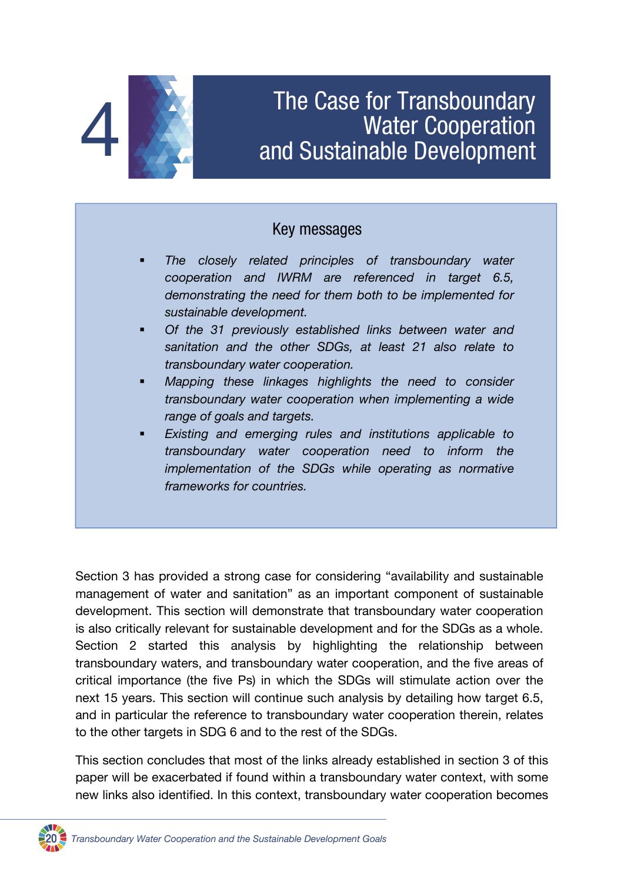

## The Case for Transboundary<br>Water Cooperation<br>and Sustainable Development Water Cooperation and Sustainable Development

### Key messages

- *The closely related principles of transboundary water cooperation and IWRM are referenced in target 6.5, demonstrating the need for them both to be implemented for sustainable development.*
- *Of the 31 previously established links between water and sanitation and the other SDGs, at least 21 also relate to transboundary water cooperation.*
- *Mapping these linkages highlights the need to consider transboundary water cooperation when implementing a wide range of goals and targets.*
- *Existing and emerging rules and institutions applicable to transboundary water cooperation need to inform the implementation of the SDGs while operating as normative frameworks for countries.*

Section 3 has provided a strong case for considering "availability and sustainable management of water and sanitation" as an important component of sustainable development. This section will demonstrate that transboundary water cooperation is also critically relevant for sustainable development and for the SDGs as a whole. Section 2 started this analysis by highlighting the relationship between transboundary waters, and transboundary water cooperation, and the five areas of critical importance (the five Ps) in which the SDGs will stimulate action over the next 15 years. This section will continue such analysis by detailing how target 6.5, and in particular the reference to transboundary water cooperation therein, relates to the other targets in SDG 6 and to the rest of the SDGs.

This section concludes that most of the links already established in section 3 of this paper will be exacerbated if found within a transboundary water context, with some new links also identified. In this context, transboundary water cooperation becomes

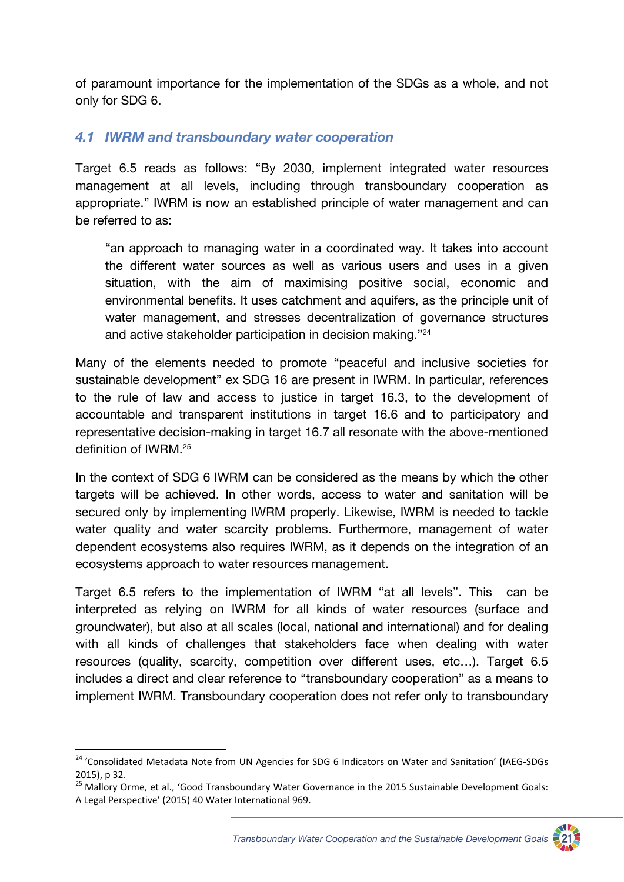of paramount importance for the implementation of the SDGs as a whole, and not only for SDG 6.

#### *4.1 IWRM and transboundary water cooperation*

Target 6.5 reads as follows: "By 2030, implement integrated water resources management at all levels, including through transboundary cooperation as appropriate." IWRM is now an established principle of water management and can be referred to as:

"an approach to managing water in a coordinated way. It takes into account the different water sources as well as various users and uses in a given situation, with the aim of maximising positive social, economic and environmental benefits. It uses catchment and aquifers, as the principle unit of water management, and stresses decentralization of governance structures and active stakeholder participation in decision making."<sup>24</sup>

Many of the elements needed to promote "peaceful and inclusive societies for sustainable development" ex SDG 16 are present in IWRM. In particular, references to the rule of law and access to justice in target 16.3, to the development of accountable and transparent institutions in target 16.6 and to participatory and representative decision-making in target 16.7 all resonate with the above-mentioned definition of IWRM.25

In the context of SDG 6 IWRM can be considered as the means by which the other targets will be achieved. In other words, access to water and sanitation will be secured only by implementing IWRM properly. Likewise, IWRM is needed to tackle water quality and water scarcity problems. Furthermore, management of water dependent ecosystems also requires IWRM, as it depends on the integration of an ecosystems approach to water resources management.

Target 6.5 refers to the implementation of IWRM "at all levels". This can be interpreted as relying on IWRM for all kinds of water resources (surface and groundwater), but also at all scales (local, national and international) and for dealing with all kinds of challenges that stakeholders face when dealing with water resources (quality, scarcity, competition over different uses, etc...). Target 6.5 includes a direct and clear reference to "transboundary cooperation" as a means to implement IWRM. Transboundary cooperation does not refer only to transboundary

<sup>&</sup>lt;sup>24</sup> 'Consolidated Metadata Note from UN Agencies for SDG 6 Indicators on Water and Sanitation' (IAEG-SDGs 2015), p 32.

<sup>&</sup>lt;sup>25</sup> Mallory Orme, et al., 'Good Transboundary Water Governance in the 2015 Sustainable Development Goals: A Legal Perspective' (2015) 40 Water International 969.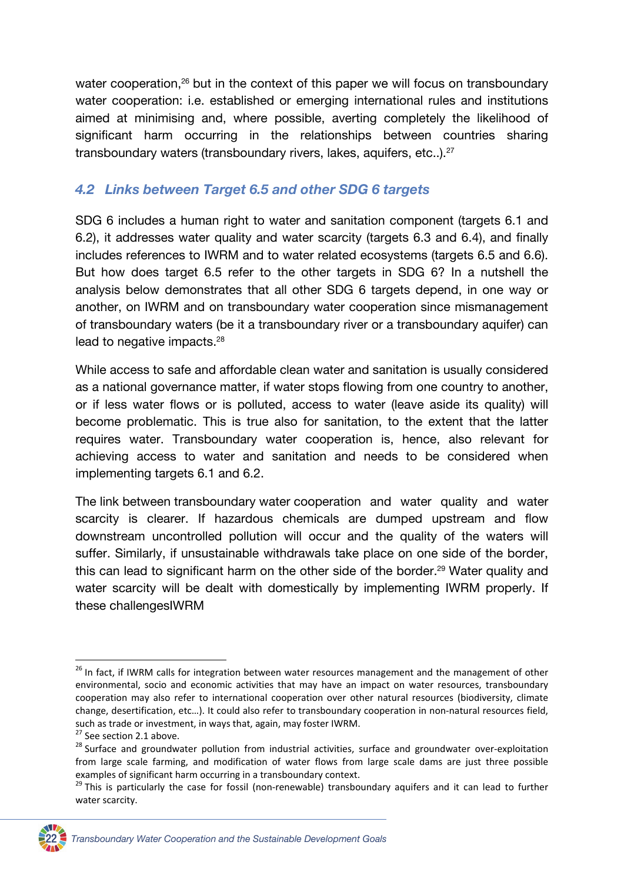water cooperation,<sup>26</sup> but in the context of this paper we will focus on transboundary water cooperation: i.e. established or emerging international rules and institutions aimed at minimising and, where possible, averting completely the likelihood of significant harm occurring in the relationships between countries sharing transboundary waters (transboundary rivers, lakes, aquifers, etc..).<sup>27</sup>

#### *4.2 Links between Target 6.5 and other SDG 6 targets*

SDG 6 includes a human right to water and sanitation component (targets 6.1 and 6.2), it addresses water quality and water scarcity (targets 6.3 and 6.4), and finally includes references to IWRM and to water related ecosystems (targets 6.5 and 6.6). But how does target 6.5 refer to the other targets in SDG 6? In a nutshell the analysis below demonstrates that all other SDG 6 targets depend, in one way or another, on IWRM and on transboundary water cooperation since mismanagement of transboundary waters (be it a transboundary river or a transboundary aquifer) can lead to negative impacts.28

While access to safe and affordable clean water and sanitation is usually considered as a national governance matter, if water stops flowing from one country to another, or if less water flows or is polluted, access to water (leave aside its quality) will become problematic. This is true also for sanitation, to the extent that the latter requires water. Transboundary water cooperation is, hence, also relevant for achieving access to water and sanitation and needs to be considered when implementing targets 6.1 and 6.2.

The link between transboundary water cooperation and water quality and water scarcity is clearer. If hazardous chemicals are dumped upstream and flow downstream uncontrolled pollution will occur and the quality of the waters will suffer. Similarly, if unsustainable withdrawals take place on one side of the border, this can lead to significant harm on the other side of the border.<sup>29</sup> Water quality and water scarcity will be dealt with domestically by implementing IWRM properly. If these challengesIWRM

<sup>&</sup>lt;sup>29</sup> This is particularly the case for fossil (non-renewable) transboundary aquifers and it can lead to further water scarcity.



<sup>&</sup>lt;sup>26</sup> In fact, if IWRM calls for integration between water resources management and the management of other environmental, socio and economic activities that may have an impact on water resources, transboundary cooperation may also refer to international cooperation over other natural resources (biodiversity, climate change, desertification, etc…). It could also refer to transboundary cooperation in non-natural resources field, such as trade or investment, in ways that, again, may foster IWRM.<br>
<sup>27</sup> See section 2.1 above.

<sup>&</sup>lt;sup>28</sup> Surface and groundwater pollution from industrial activities, surface and groundwater over-exploitation from large scale farming, and modification of water flows from large scale dams are just three possible examples of significant harm occurring in a transboundary context.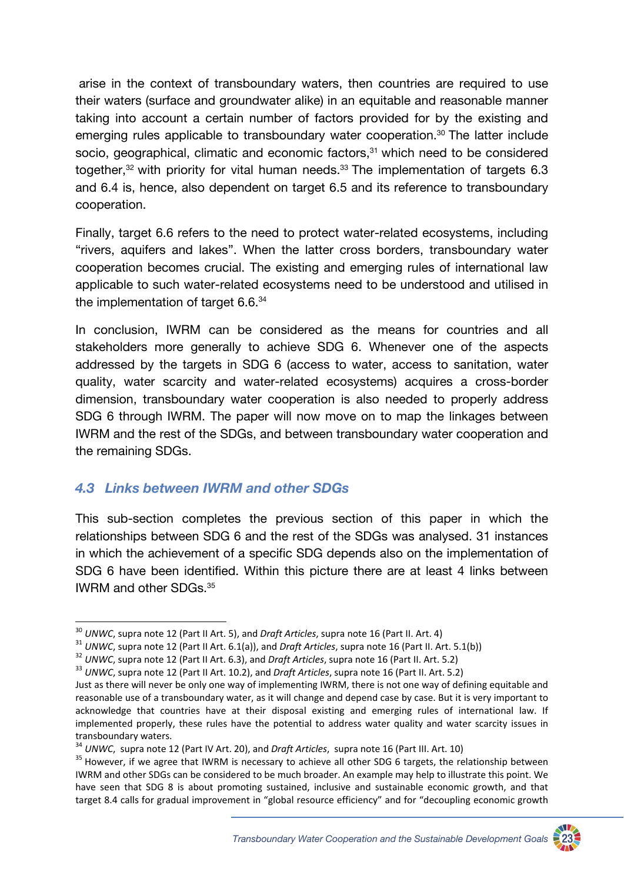arise in the context of transboundary waters, then countries are required to use their waters (surface and groundwater alike) in an equitable and reasonable manner taking into account a certain number of factors provided for by the existing and emerging rules applicable to transboundary water cooperation.<sup>30</sup> The latter include socio, geographical, climatic and economic factors,<sup>31</sup> which need to be considered together,<sup>32</sup> with priority for vital human needs.<sup>33</sup> The implementation of targets 6.3 and 6.4 is, hence, also dependent on target 6.5 and its reference to transboundary cooperation.

Finally, target 6.6 refers to the need to protect water-related ecosystems, including "rivers, aquifers and lakes". When the latter cross borders, transboundary water cooperation becomes crucial. The existing and emerging rules of international law applicable to such water-related ecosystems need to be understood and utilised in the implementation of target 6.6.34

In conclusion, IWRM can be considered as the means for countries and all stakeholders more generally to achieve SDG 6. Whenever one of the aspects addressed by the targets in SDG 6 (access to water, access to sanitation, water quality, water scarcity and water-related ecosystems) acquires a cross-border dimension, transboundary water cooperation is also needed to properly address SDG 6 through IWRM. The paper will now move on to map the linkages between IWRM and the rest of the SDGs, and between transboundary water cooperation and the remaining SDGs.

#### *4.3 Links between IWRM and other SDGs*

 $\overline{\phantom{a}}$ 

This sub-section completes the previous section of this paper in which the relationships between SDG 6 and the rest of the SDGs was analysed. 31 instances in which the achievement of a specific SDG depends also on the implementation of SDG 6 have been identified. Within this picture there are at least 4 links between IWRM and other SDGs.35



<sup>&</sup>lt;sup>30</sup> UNWC, supra note 12 (Part II Art. 5), and *Draft Articles*, supra note 16 (Part II. Art. 4)<br><sup>31</sup> UNWC, supra note 12 (Part II Art. 6.1(a)), and *Draft Articles*, supra note 16 (Part II. Art. 5.1(b))<br><sup>32</sup> UNWC, supra

Just as there will never be only one way of implementing IWRM, there is not one way of defining equitable and reasonable use of a transboundary water, as it will change and depend case by case. But it is very important to acknowledge that countries have at their disposal existing and emerging rules of international law. If implemented properly, these rules have the potential to address water quality and water scarcity issues in transboundary waters.<br><sup>34</sup> UNWC, supra note 12 (Part IV Art. 20), and *Draft Articles*, supra note 16 (Part III. Art. 10)

<sup>&</sup>lt;sup>35</sup> However, if we agree that IWRM is necessary to achieve all other SDG 6 targets, the relationship between IWRM and other SDGs can be considered to be much broader. An example may help to illustrate this point. We have seen that SDG 8 is about promoting sustained, inclusive and sustainable economic growth, and that target 8.4 calls for gradual improvement in "global resource efficiency" and for "decoupling economic growth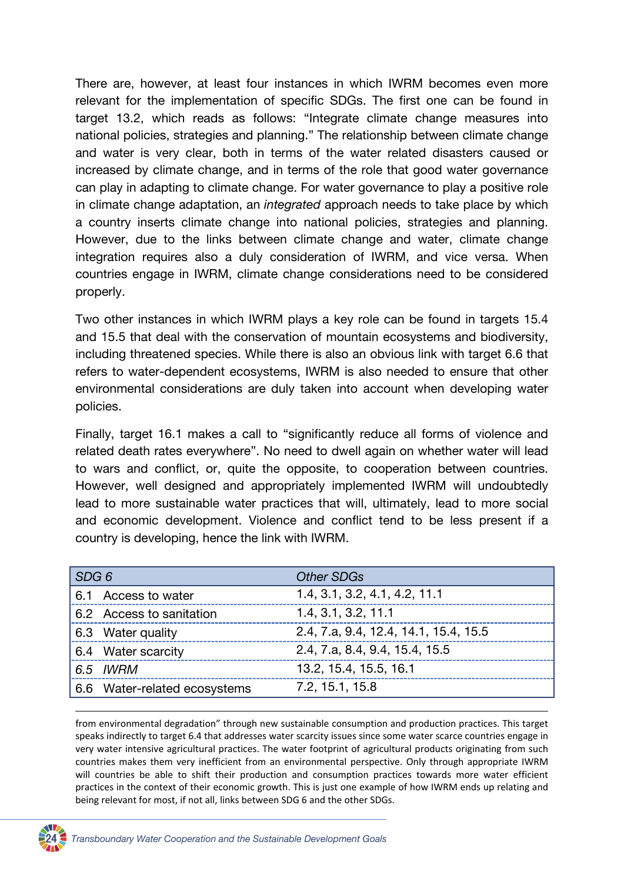There are, however, at least four instances in which IWRM becomes even more relevant for the implementation of specific SDGs. The first one can be found in target 13.2, which reads as follows: "Integrate climate change measures into national policies, strategies and planning." The relationship between climate change and water is very clear, both in terms of the water related disasters caused or increased by climate change, and in terms of the role that good water governance can play in adapting to climate change. For water governance to play a positive role in climate change adaptation, an *integrated* approach needs to take place by which a country inserts climate change into national policies, strategies and planning. However, due to the links between climate change and water, climate change integration requires also a duly consideration of IWRM, and vice versa. When countries engage in IWRM, climate change considerations need to be considered properly.

Two other instances in which IWRM plays a key role can be found in targets 15.4 and 15.5 that deal with the conservation of mountain ecosystems and biodiversity, including threatened species. While there is also an obvious link with target 6.6 that refers to water-dependent ecosystems, IWRM is also needed to ensure that other environmental considerations are duly taken into account when developing water policies.

Finally, target 16.1 makes a call to "significantly reduce all forms of violence and related death rates everywhere". No need to dwell again on whether water will lead to wars and conflict, or, quite the opposite, to cooperation between countries. However, well designed and appropriately implemented IWRM will undoubtedly lead to more sustainable water practices that will, ultimately, lead to more social and economic development. Violence and conflict tend to be less present if a country is developing, hence the link with IWRM.

| SDG 6 |                              | <b>Other SDGs</b>                     |  |
|-------|------------------------------|---------------------------------------|--|
|       | 6.1 Access to water          | 1.4, 3.1, 3.2, 4.1, 4.2, 11.1         |  |
|       | 6.2 Access to sanitation     | 1.4, 3.1, 3.2, 11.1                   |  |
|       | 6.3 Water quality            | 2.4, 7.a, 9.4, 12.4, 14.1, 15.4, 15.5 |  |
|       | 6.4 Water scarcity           | 2.4, 7.a, 8.4, 9.4, 15.4, 15.5        |  |
|       | 6.5 IWRM                     | 13.2, 15.4, 15.5, 16.1                |  |
|       | 6.6 Water-related ecosystems | 7.2, 15.1, 15.8                       |  |

1 from environmental degradation" through new sustainable consumption and production practices. This target speaks indirectly to target 6.4 that addresses water scarcity issues since some water scarce countries engage in very water intensive agricultural practices. The water footprint of agricultural products originating from such countries makes them very inefficient from an environmental perspective. Only through appropriate IWRM will countries be able to shift their production and consumption practices towards more water efficient practices in the context of their economic growth. This is just one example of how IWRM ends up relating and being relevant for most, if not all, links between SDG 6 and the other SDGs.

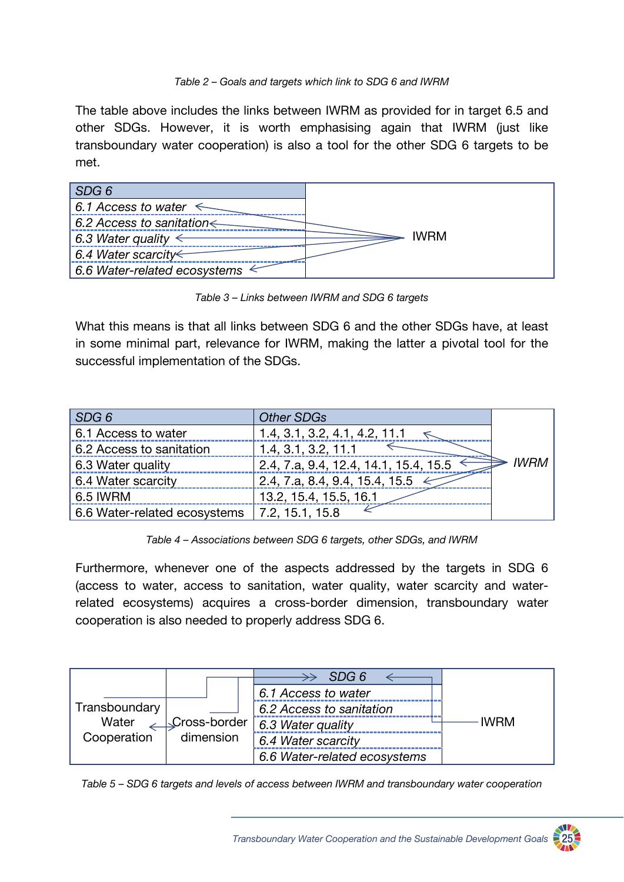#### *Table 2 – Goals and targets which link to SDG 6 and IWRM*

The table above includes the links between IWRM as provided for in target 6.5 and other SDGs. However, it is worth emphasising again that IWRM (just like transboundary water cooperation) is also a tool for the other SDG 6 targets to be met.



*Table 3 – Links between IWRM and SDG 6 targets* 

What this means is that all links between SDG 6 and the other SDGs have, at least in some minimal part, relevance for IWRM, making the latter a pivotal tool for the successful implementation of the SDGs.

| SDG 6                        | <b>Other SDGs</b>                     |             |
|------------------------------|---------------------------------------|-------------|
| 6.1 Access to water          | 1.4, 3.1, 3.2, 4.1, 4.2, 11.1         |             |
| 6.2 Access to sanitation     | 1.4, 3.1, 3.2, 11.1                   |             |
| 6.3 Water quality            | 2.4, 7.a, 9.4, 12.4, 14.1, 15.4, 15.5 | <b>IWRM</b> |
| 6.4 Water scarcity           | 2.4, 7.a, 8.4, 9.4, 15.4, 15.5 $\leq$ |             |
| 6.5 IWRM                     | 13.2, 15.4, 15.5, 16.1                |             |
| 6.6 Water-related ecosystems | 7.2, 15.1, 15.8                       |             |

*Table 4 – Associations between SDG 6 targets, other SDGs, and IWRM* 

Furthermore, whenever one of the aspects addressed by the targets in SDG 6 (access to water, access to sanitation, water quality, water scarcity and waterrelated ecosystems) acquires a cross-border dimension, transboundary water cooperation is also needed to properly address SDG 6.

|               |                                                   | -SDG 6                       |             |
|---------------|---------------------------------------------------|------------------------------|-------------|
|               | Cross-border<br>Water<br>Cooperation<br>dimension | 6.1 Access to water          |             |
| Transboundary |                                                   | 6.2 Access to sanitation     |             |
|               |                                                   | 6.3 Water quality            | <b>IWRM</b> |
|               |                                                   | 6.4 Water scarcity           |             |
|               |                                                   | 6.6 Water-related ecosystems |             |

*Table 5 – SDG 6 targets and levels of access between IWRM and transboundary water cooperation* 

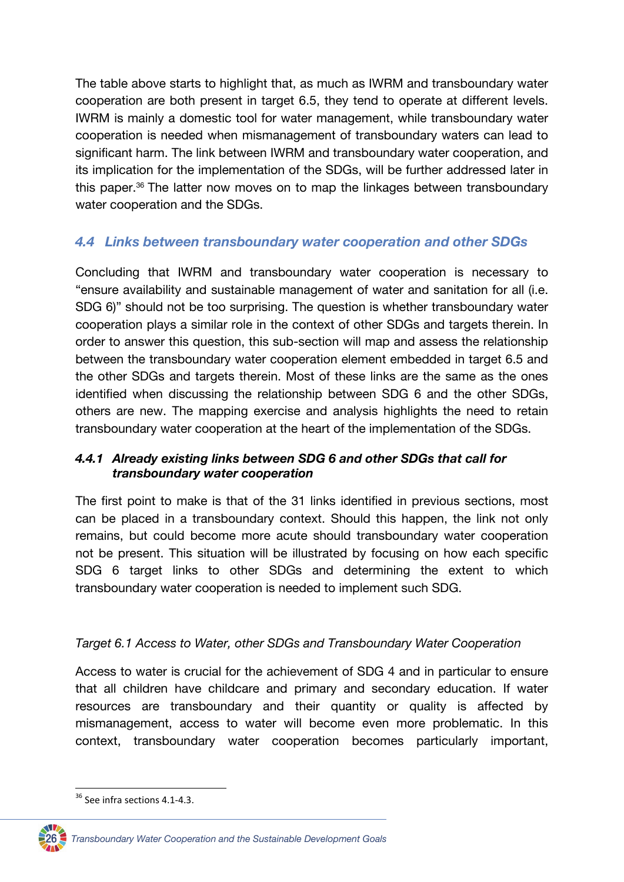The table above starts to highlight that, as much as IWRM and transboundary water cooperation are both present in target 6.5, they tend to operate at different levels. IWRM is mainly a domestic tool for water management, while transboundary water cooperation is needed when mismanagement of transboundary waters can lead to significant harm. The link between IWRM and transboundary water cooperation, and its implication for the implementation of the SDGs, will be further addressed later in this paper.36 The latter now moves on to map the linkages between transboundary water cooperation and the SDGs.

#### *4.4 Links between transboundary water cooperation and other SDGs*

Concluding that IWRM and transboundary water cooperation is necessary to "ensure availability and sustainable management of water and sanitation for all (i.e. SDG 6)" should not be too surprising. The question is whether transboundary water cooperation plays a similar role in the context of other SDGs and targets therein. In order to answer this question, this sub-section will map and assess the relationship between the transboundary water cooperation element embedded in target 6.5 and the other SDGs and targets therein. Most of these links are the same as the ones identified when discussing the relationship between SDG 6 and the other SDGs, others are new. The mapping exercise and analysis highlights the need to retain transboundary water cooperation at the heart of the implementation of the SDGs.

#### *4.4.1 Already existing links between SDG 6 and other SDGs that call for transboundary water cooperation*

The first point to make is that of the 31 links identified in previous sections, most can be placed in a transboundary context. Should this happen, the link not only remains, but could become more acute should transboundary water cooperation not be present. This situation will be illustrated by focusing on how each specific SDG 6 target links to other SDGs and determining the extent to which transboundary water cooperation is needed to implement such SDG.

#### *Target 6.1 Access to Water, other SDGs and Transboundary Water Cooperation*

Access to water is crucial for the achievement of SDG 4 and in particular to ensure that all children have childcare and primary and secondary education. If water resources are transboundary and their quantity or quality is affected by mismanagement, access to water will become even more problematic. In this context, transboundary water cooperation becomes particularly important,

**<sup>.</sup>** <sup>36</sup> See infra sections 4.1-4.3.

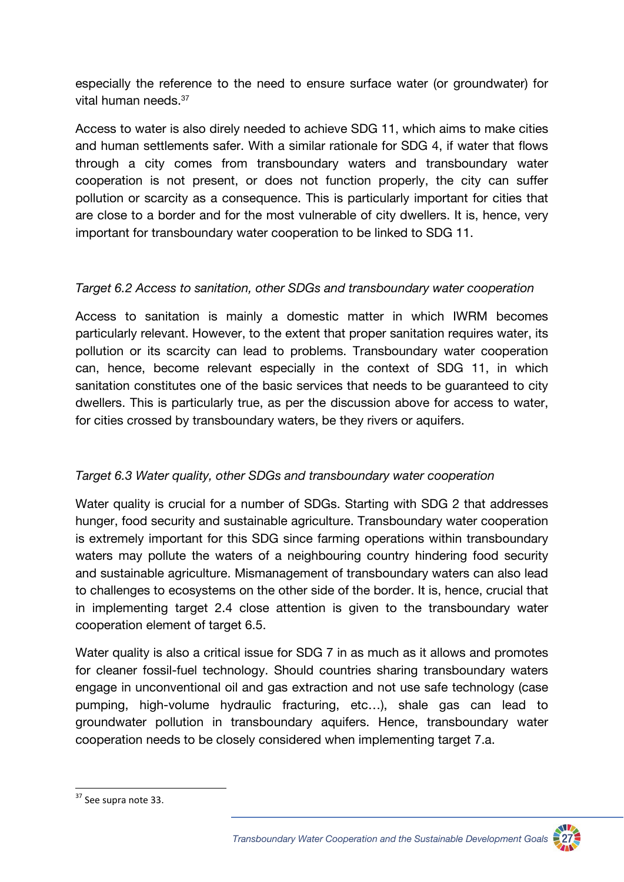especially the reference to the need to ensure surface water (or groundwater) for vital human needs  $37$ 

Access to water is also direly needed to achieve SDG 11, which aims to make cities and human settlements safer. With a similar rationale for SDG 4, if water that flows through a city comes from transboundary waters and transboundary water cooperation is not present, or does not function properly, the city can suffer pollution or scarcity as a consequence. This is particularly important for cities that are close to a border and for the most vulnerable of city dwellers. It is, hence, very important for transboundary water cooperation to be linked to SDG 11.

#### *Target 6.2 Access to sanitation, other SDGs and transboundary water cooperation*

Access to sanitation is mainly a domestic matter in which IWRM becomes particularly relevant. However, to the extent that proper sanitation requires water, its pollution or its scarcity can lead to problems. Transboundary water cooperation can, hence, become relevant especially in the context of SDG 11, in which sanitation constitutes one of the basic services that needs to be guaranteed to city dwellers. This is particularly true, as per the discussion above for access to water, for cities crossed by transboundary waters, be they rivers or aquifers.

#### *Target 6.3 Water quality, other SDGs and transboundary water cooperation*

Water quality is crucial for a number of SDGs. Starting with SDG 2 that addresses hunger, food security and sustainable agriculture. Transboundary water cooperation is extremely important for this SDG since farming operations within transboundary waters may pollute the waters of a neighbouring country hindering food security and sustainable agriculture. Mismanagement of transboundary waters can also lead to challenges to ecosystems on the other side of the border. It is, hence, crucial that in implementing target 2.4 close attention is given to the transboundary water cooperation element of target 6.5.

Water quality is also a critical issue for SDG 7 in as much as it allows and promotes for cleaner fossil-fuel technology. Should countries sharing transboundary waters engage in unconventional oil and gas extraction and not use safe technology (case pumping, high-volume hydraulic fracturing, etc…), shale gas can lead to groundwater pollution in transboundary aquifers. Hence, transboundary water cooperation needs to be closely considered when implementing target 7.a.



<sup>&</sup>lt;sup>37</sup> See supra note 33.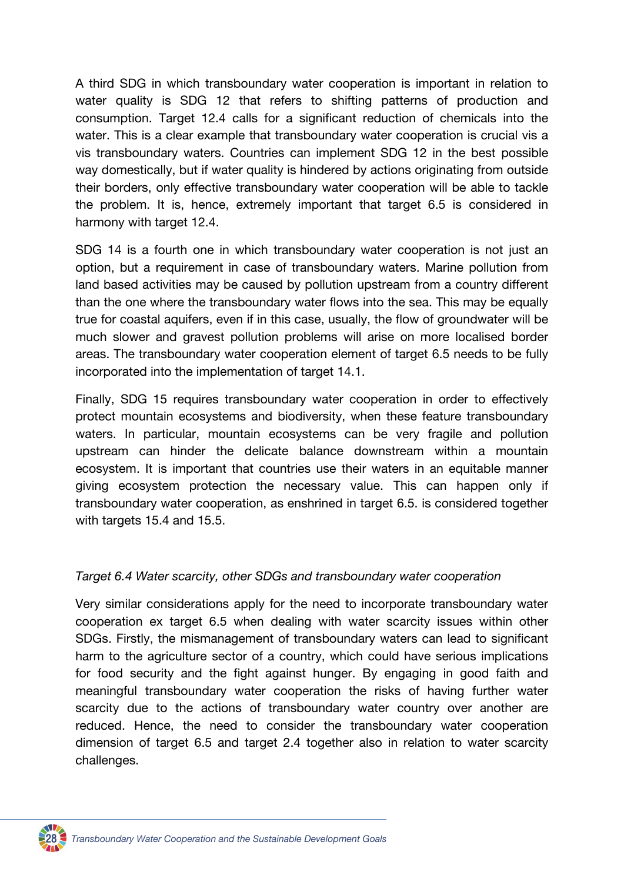A third SDG in which transboundary water cooperation is important in relation to water quality is SDG 12 that refers to shifting patterns of production and consumption. Target 12.4 calls for a significant reduction of chemicals into the water. This is a clear example that transboundary water cooperation is crucial vis a vis transboundary waters. Countries can implement SDG 12 in the best possible way domestically, but if water quality is hindered by actions originating from outside their borders, only effective transboundary water cooperation will be able to tackle the problem. It is, hence, extremely important that target 6.5 is considered in harmony with target 12.4.

SDG 14 is a fourth one in which transboundary water cooperation is not just an option, but a requirement in case of transboundary waters. Marine pollution from land based activities may be caused by pollution upstream from a country different than the one where the transboundary water flows into the sea. This may be equally true for coastal aquifers, even if in this case, usually, the flow of groundwater will be much slower and gravest pollution problems will arise on more localised border areas. The transboundary water cooperation element of target 6.5 needs to be fully incorporated into the implementation of target 14.1.

Finally, SDG 15 requires transboundary water cooperation in order to effectively protect mountain ecosystems and biodiversity, when these feature transboundary waters. In particular, mountain ecosystems can be very fragile and pollution upstream can hinder the delicate balance downstream within a mountain ecosystem. It is important that countries use their waters in an equitable manner giving ecosystem protection the necessary value. This can happen only if transboundary water cooperation, as enshrined in target 6.5. is considered together with targets 15.4 and 15.5.

#### *Target 6.4 Water scarcity, other SDGs and transboundary water cooperation*

Very similar considerations apply for the need to incorporate transboundary water cooperation ex target 6.5 when dealing with water scarcity issues within other SDGs. Firstly, the mismanagement of transboundary waters can lead to significant harm to the agriculture sector of a country, which could have serious implications for food security and the fight against hunger. By engaging in good faith and meaningful transboundary water cooperation the risks of having further water scarcity due to the actions of transboundary water country over another are reduced. Hence, the need to consider the transboundary water cooperation dimension of target 6.5 and target 2.4 together also in relation to water scarcity challenges.

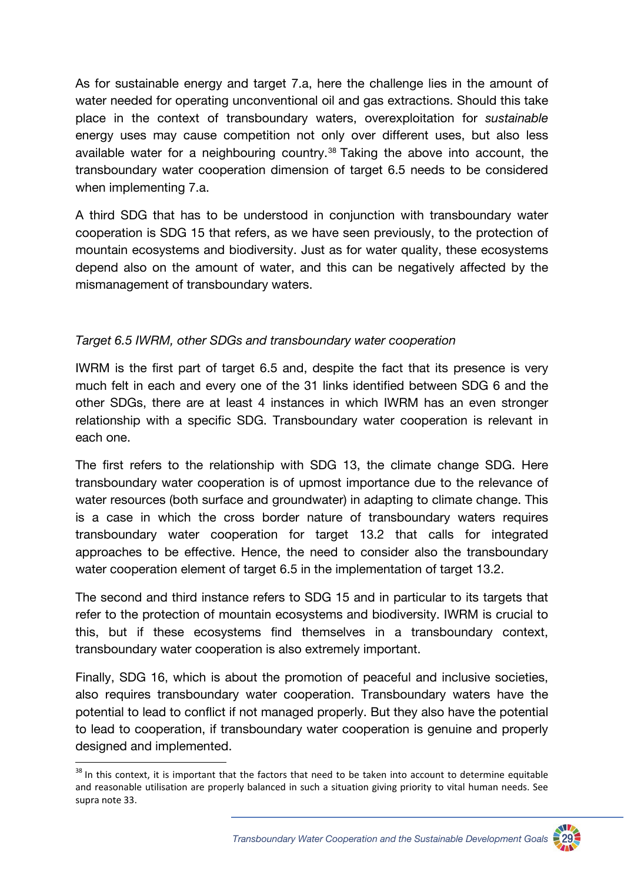As for sustainable energy and target 7.a, here the challenge lies in the amount of water needed for operating unconventional oil and gas extractions. Should this take place in the context of transboundary waters, overexploitation for *sustainable*  energy uses may cause competition not only over different uses, but also less available water for a neighbouring country.<sup>38</sup> Taking the above into account, the transboundary water cooperation dimension of target 6.5 needs to be considered when implementing 7.a.

A third SDG that has to be understood in conjunction with transboundary water cooperation is SDG 15 that refers, as we have seen previously, to the protection of mountain ecosystems and biodiversity. Just as for water quality, these ecosystems depend also on the amount of water, and this can be negatively affected by the mismanagement of transboundary waters.

#### *Target 6.5 IWRM, other SDGs and transboundary water cooperation*

IWRM is the first part of target 6.5 and, despite the fact that its presence is very much felt in each and every one of the 31 links identified between SDG 6 and the other SDGs, there are at least 4 instances in which IWRM has an even stronger relationship with a specific SDG. Transboundary water cooperation is relevant in each one.

The first refers to the relationship with SDG 13, the climate change SDG. Here transboundary water cooperation is of upmost importance due to the relevance of water resources (both surface and groundwater) in adapting to climate change. This is a case in which the cross border nature of transboundary waters requires transboundary water cooperation for target 13.2 that calls for integrated approaches to be effective. Hence, the need to consider also the transboundary water cooperation element of target 6.5 in the implementation of target 13.2.

The second and third instance refers to SDG 15 and in particular to its targets that refer to the protection of mountain ecosystems and biodiversity. IWRM is crucial to this, but if these ecosystems find themselves in a transboundary context, transboundary water cooperation is also extremely important.

Finally, SDG 16, which is about the promotion of peaceful and inclusive societies, also requires transboundary water cooperation. Transboundary waters have the potential to lead to conflict if not managed properly. But they also have the potential to lead to cooperation, if transboundary water cooperation is genuine and properly designed and implemented.





<sup>&</sup>lt;sup>38</sup> In this context, it is important that the factors that need to be taken into account to determine equitable and reasonable utilisation are properly balanced in such a situation giving priority to vital human needs. See supra note 33.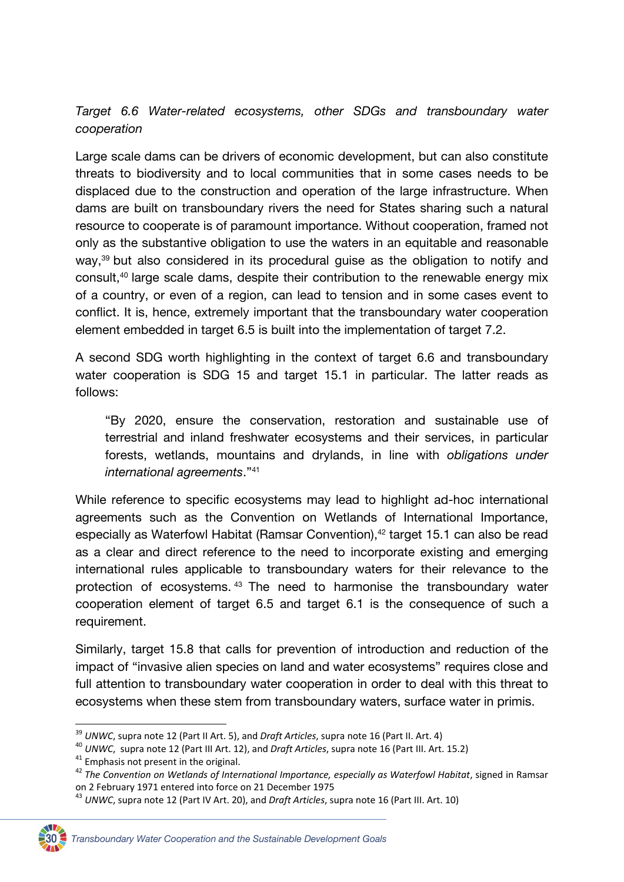*Target 6.6 Water-related ecosystems, other SDGs and transboundary water cooperation* 

Large scale dams can be drivers of economic development, but can also constitute threats to biodiversity and to local communities that in some cases needs to be displaced due to the construction and operation of the large infrastructure. When dams are built on transboundary rivers the need for States sharing such a natural resource to cooperate is of paramount importance. Without cooperation, framed not only as the substantive obligation to use the waters in an equitable and reasonable way,<sup>39</sup> but also considered in its procedural quise as the obligation to notify and consult,40 large scale dams, despite their contribution to the renewable energy mix of a country, or even of a region, can lead to tension and in some cases event to conflict. It is, hence, extremely important that the transboundary water cooperation element embedded in target 6.5 is built into the implementation of target 7.2.

A second SDG worth highlighting in the context of target 6.6 and transboundary water cooperation is SDG 15 and target 15.1 in particular. The latter reads as follows:

"By 2020, ensure the conservation, restoration and sustainable use of terrestrial and inland freshwater ecosystems and their services, in particular forests, wetlands, mountains and drylands, in line with *obligations under international agreements*."41

While reference to specific ecosystems may lead to highlight ad-hoc international agreements such as the Convention on Wetlands of International Importance, especially as Waterfowl Habitat (Ramsar Convention),<sup>42</sup> target 15.1 can also be read as a clear and direct reference to the need to incorporate existing and emerging international rules applicable to transboundary waters for their relevance to the protection of ecosystems. 43 The need to harmonise the transboundary water cooperation element of target 6.5 and target 6.1 is the consequence of such a requirement.

Similarly, target 15.8 that calls for prevention of introduction and reduction of the impact of "invasive alien species on land and water ecosystems" requires close and full attention to transboundary water cooperation in order to deal with this threat to ecosystems when these stem from transboundary waters, surface water in primis.

<sup>43</sup> *UNWC*, supra note 12 (Part IV Art. 20), and *Draft Articles*, supra note 16 (Part III. Art. 10)



<sup>&</sup>lt;sup>39</sup> UNWC, supra note 12 (Part II Art. 5), and Draft Articles, supra note 16 (Part II. Art. 4)

<sup>&</sup>lt;sup>40</sup> UNWC, supra note 12 (Part III Art. 12), and *Draft Articles*, supra note 16 (Part III. Art. 15.2) <sup>41</sup> Emphasis not present in the original.

<sup>&</sup>lt;sup>42</sup> The Convention on Wetlands of International Importance, especially as Waterfowl Habitat, signed in Ramsar on 2 February 1971 entered into force on 21 December 1975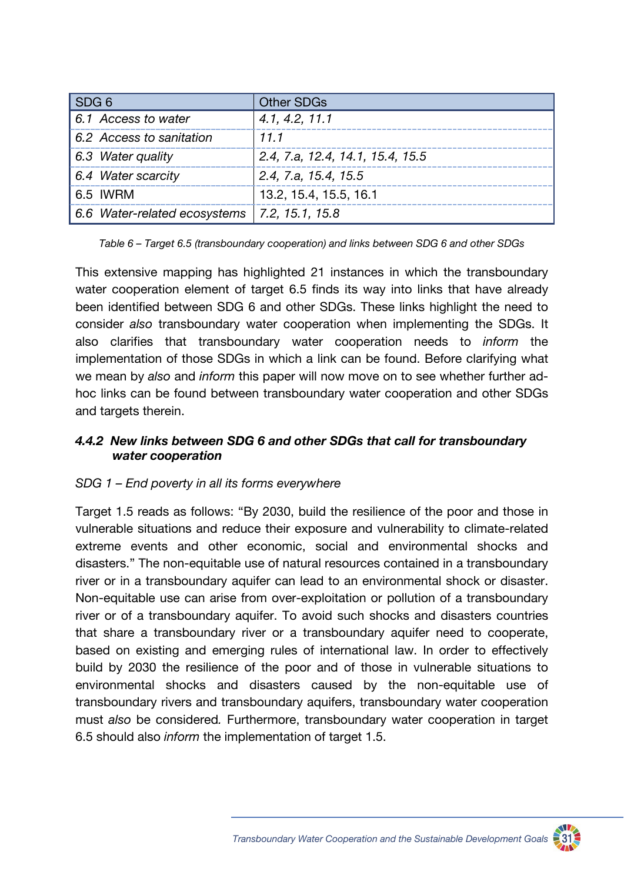| SDG <sub>6</sub>                               | <b>Other SDGs</b>                |
|------------------------------------------------|----------------------------------|
| 6.1 Access to water                            | 4.1, 4.2, 11.1                   |
| 6.2 Access to sanitation                       | 11.1                             |
| 6.3 Water quality                              | 2.4, 7.a, 12.4, 14.1, 15.4, 15.5 |
| 6.4 Water scarcity                             | 2.4, 7.a, 15.4, 15.5             |
| 6.5 IWRM                                       | 13.2, 15.4, 15.5, 16.1           |
| 6.6 Water-related ecosystems   7.2, 15.1, 15.8 |                                  |

*Table 6 – Target 6.5 (transboundary cooperation) and links between SDG 6 and other SDGs* 

This extensive mapping has highlighted 21 instances in which the transboundary water cooperation element of target 6.5 finds its way into links that have already been identified between SDG 6 and other SDGs. These links highlight the need to consider *also* transboundary water cooperation when implementing the SDGs. It also clarifies that transboundary water cooperation needs to *inform* the implementation of those SDGs in which a link can be found. Before clarifying what we mean by *also* and *inform* this paper will now move on to see whether further adhoc links can be found between transboundary water cooperation and other SDGs and targets therein.

#### *4.4.2 New links between SDG 6 and other SDGs that call for transboundary water cooperation*

#### *SDG 1 – End poverty in all its forms everywhere*

Target 1.5 reads as follows: "By 2030, build the resilience of the poor and those in vulnerable situations and reduce their exposure and vulnerability to climate-related extreme events and other economic, social and environmental shocks and disasters." The non-equitable use of natural resources contained in a transboundary river or in a transboundary aquifer can lead to an environmental shock or disaster. Non-equitable use can arise from over-exploitation or pollution of a transboundary river or of a transboundary aquifer. To avoid such shocks and disasters countries that share a transboundary river or a transboundary aquifer need to cooperate, based on existing and emerging rules of international law. In order to effectively build by 2030 the resilience of the poor and of those in vulnerable situations to environmental shocks and disasters caused by the non-equitable use of transboundary rivers and transboundary aquifers, transboundary water cooperation must *also* be considered*.* Furthermore, transboundary water cooperation in target 6.5 should also *inform* the implementation of target 1.5.

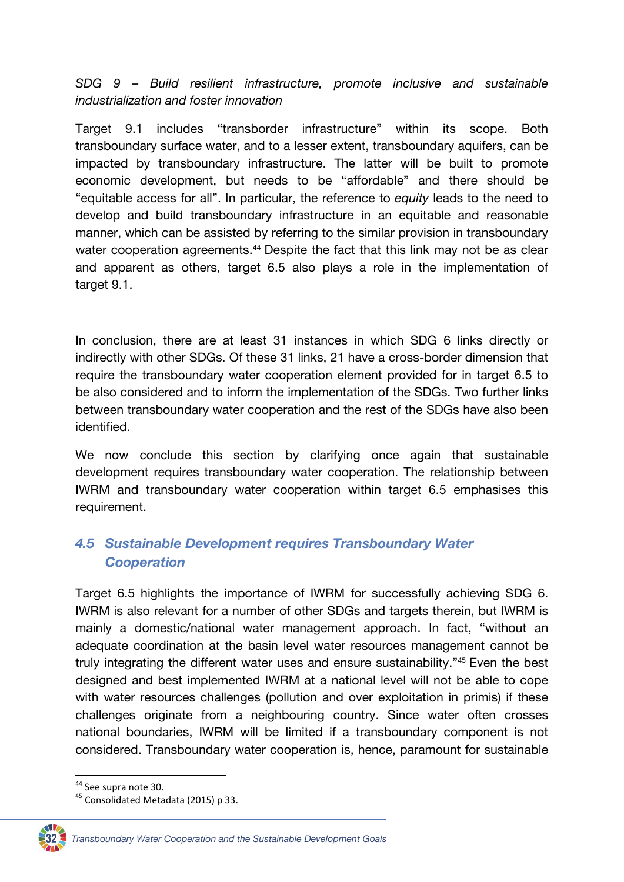*SDG 9 – Build resilient infrastructure, promote inclusive and sustainable industrialization and foster innovation* 

Target 9.1 includes "transborder infrastructure" within its scope. Both transboundary surface water, and to a lesser extent, transboundary aquifers, can be impacted by transboundary infrastructure. The latter will be built to promote economic development, but needs to be "affordable" and there should be "equitable access for all". In particular, the reference to *equity* leads to the need to develop and build transboundary infrastructure in an equitable and reasonable manner, which can be assisted by referring to the similar provision in transboundary water cooperation agreements.<sup>44</sup> Despite the fact that this link may not be as clear and apparent as others, target 6.5 also plays a role in the implementation of target 9.1.

In conclusion, there are at least 31 instances in which SDG 6 links directly or indirectly with other SDGs. Of these 31 links, 21 have a cross-border dimension that require the transboundary water cooperation element provided for in target 6.5 to be also considered and to inform the implementation of the SDGs. Two further links between transboundary water cooperation and the rest of the SDGs have also been identified.

We now conclude this section by clarifying once again that sustainable development requires transboundary water cooperation. The relationship between IWRM and transboundary water cooperation within target 6.5 emphasises this requirement.

#### *4.5 Sustainable Development requires Transboundary Water Cooperation*

Target 6.5 highlights the importance of IWRM for successfully achieving SDG 6. IWRM is also relevant for a number of other SDGs and targets therein, but IWRM is mainly a domestic/national water management approach. In fact, "without an adequate coordination at the basin level water resources management cannot be truly integrating the different water uses and ensure sustainability."45 Even the best designed and best implemented IWRM at a national level will not be able to cope with water resources challenges (pollution and over exploitation in primis) if these challenges originate from a neighbouring country. Since water often crosses national boundaries, IWRM will be limited if a transboundary component is not considered. Transboundary water cooperation is, hence, paramount for sustainable

<sup>45</sup> Consolidated Metadata (2015) p 33.



**<sup>.</sup>** <sup>44</sup> See supra note 30.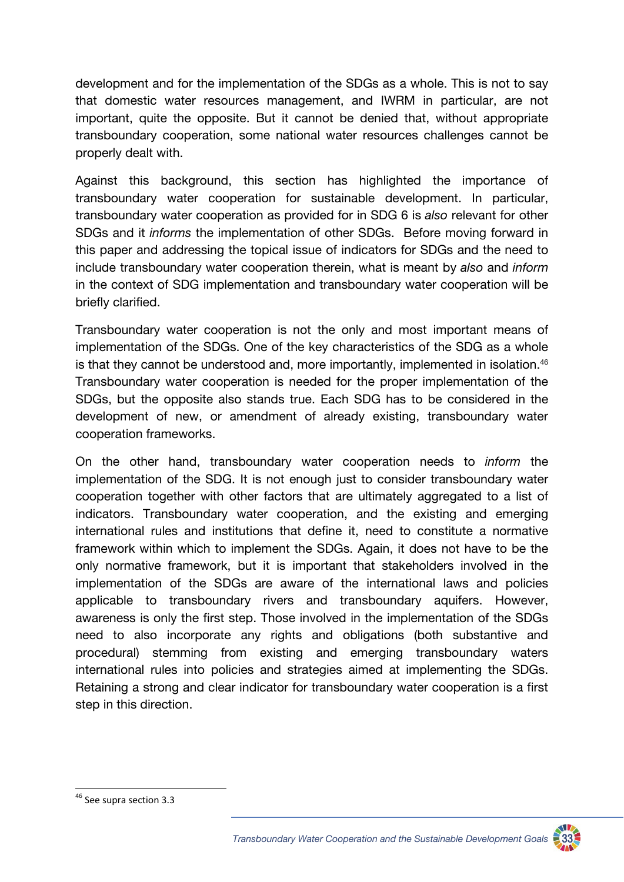development and for the implementation of the SDGs as a whole. This is not to say that domestic water resources management, and IWRM in particular, are not important, quite the opposite. But it cannot be denied that, without appropriate transboundary cooperation, some national water resources challenges cannot be properly dealt with.

Against this background, this section has highlighted the importance of transboundary water cooperation for sustainable development. In particular, transboundary water cooperation as provided for in SDG 6 is *also* relevant for other SDGs and it *informs* the implementation of other SDGs. Before moving forward in this paper and addressing the topical issue of indicators for SDGs and the need to include transboundary water cooperation therein, what is meant by *also* and *inform* in the context of SDG implementation and transboundary water cooperation will be briefly clarified.

Transboundary water cooperation is not the only and most important means of implementation of the SDGs. One of the key characteristics of the SDG as a whole is that they cannot be understood and, more importantly, implemented in isolation.<sup>46</sup> Transboundary water cooperation is needed for the proper implementation of the SDGs, but the opposite also stands true. Each SDG has to be considered in the development of new, or amendment of already existing, transboundary water cooperation frameworks.

On the other hand, transboundary water cooperation needs to *inform* the implementation of the SDG. It is not enough just to consider transboundary water cooperation together with other factors that are ultimately aggregated to a list of indicators. Transboundary water cooperation, and the existing and emerging international rules and institutions that define it, need to constitute a normative framework within which to implement the SDGs. Again, it does not have to be the only normative framework, but it is important that stakeholders involved in the implementation of the SDGs are aware of the international laws and policies applicable to transboundary rivers and transboundary aquifers. However, awareness is only the first step. Those involved in the implementation of the SDGs need to also incorporate any rights and obligations (both substantive and procedural) stemming from existing and emerging transboundary waters international rules into policies and strategies aimed at implementing the SDGs. Retaining a strong and clear indicator for transboundary water cooperation is a first step in this direction.



<sup>&</sup>lt;sup>46</sup> See supra section 3.3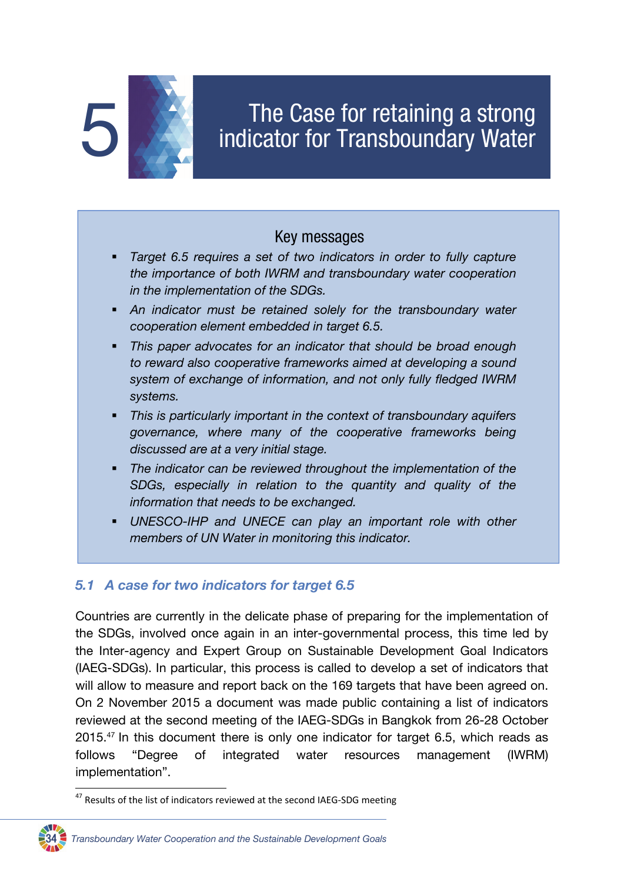

## The Case for retaining a strong<br>indicator for Transboundary Water indicator for Transboundary Water

#### Key messages

- *Target 6.5 requires a set of two indicators in order to fully capture the importance of both IWRM and transboundary water cooperation in the implementation of the SDGs.*
- **An indicator must be retained solely for the transboundary water** *cooperation element embedded in target 6.5.*
- *This paper advocates for an indicator that should be broad enough to reward also cooperative frameworks aimed at developing a sound system of exchange of information, and not only fully fledged IWRM systems.*
- *This is particularly important in the context of transboundary aquifers governance, where many of the cooperative frameworks being discussed are at a very initial stage.*
- *The indicator can be reviewed throughout the implementation of the SDGs, especially in relation to the quantity and quality of the information that needs to be exchanged.*
- *UNESCO-IHP and UNECE can play an important role with other members of UN Water in monitoring this indicator.*

#### *5.1 A case for two indicators for target 6.5*

Countries are currently in the delicate phase of preparing for the implementation of the SDGs, involved once again in an inter-governmental process, this time led by the Inter-agency and Expert Group on Sustainable Development Goal Indicators (IAEG-SDGs). In particular, this process is called to develop a set of indicators that will allow to measure and report back on the 169 targets that have been agreed on. On 2 November 2015 a document was made public containing a list of indicators reviewed at the second meeting of the IAEG-SDGs in Bangkok from 26-28 October 2015.<sup>47</sup> In this document there is only one indicator for target 6.5, which reads as follows "Degree of integrated water resources management (IWRM) implementation".

**<sup>.</sup>** <sup>47</sup> Results of the list of indicators reviewed at the second IAEG-SDG meeting

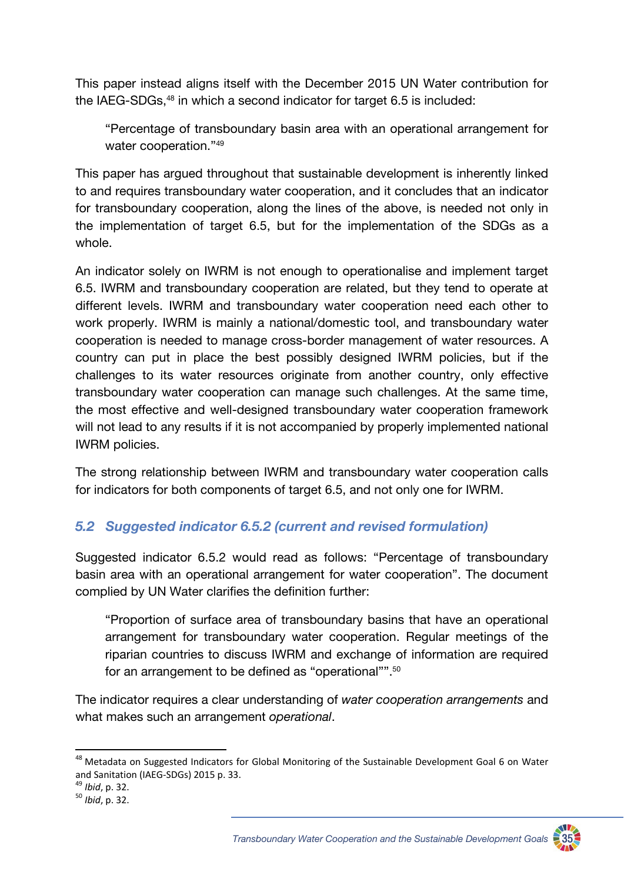This paper instead aligns itself with the December 2015 UN Water contribution for the IAEG-SDGs,<sup>48</sup> in which a second indicator for target 6.5 is included:

"Percentage of transboundary basin area with an operational arrangement for water cooperation."<sup>49</sup>

This paper has argued throughout that sustainable development is inherently linked to and requires transboundary water cooperation, and it concludes that an indicator for transboundary cooperation, along the lines of the above, is needed not only in the implementation of target 6.5, but for the implementation of the SDGs as a whole.

An indicator solely on IWRM is not enough to operationalise and implement target 6.5. IWRM and transboundary cooperation are related, but they tend to operate at different levels. IWRM and transboundary water cooperation need each other to work properly. IWRM is mainly a national/domestic tool, and transboundary water cooperation is needed to manage cross-border management of water resources. A country can put in place the best possibly designed IWRM policies, but if the challenges to its water resources originate from another country, only effective transboundary water cooperation can manage such challenges. At the same time, the most effective and well-designed transboundary water cooperation framework will not lead to any results if it is not accompanied by properly implemented national IWRM policies.

The strong relationship between IWRM and transboundary water cooperation calls for indicators for both components of target 6.5, and not only one for IWRM.

#### *5.2 Suggested indicator 6.5.2 (current and revised formulation)*

Suggested indicator 6.5.2 would read as follows: "Percentage of transboundary basin area with an operational arrangement for water cooperation". The document complied by UN Water clarifies the definition further:

"Proportion of surface area of transboundary basins that have an operational arrangement for transboundary water cooperation. Regular meetings of the riparian countries to discuss IWRM and exchange of information are required for an arrangement to be defined as "operational"".50

The indicator requires a clear understanding of *water cooperation arrangements* and what makes such an arrangement *operational*.

<sup>&</sup>lt;sup>48</sup> Metadata on Suggested Indicators for Global Monitoring of the Sustainable Development Goal 6 on Water and Sanitation (IAEG-SDGs) 2015 p. 33.<br> $49$  *Ibid.* p. 32.

<sup>49</sup> *Ibid*, p. 32. 50 *Ibid*, p. 32.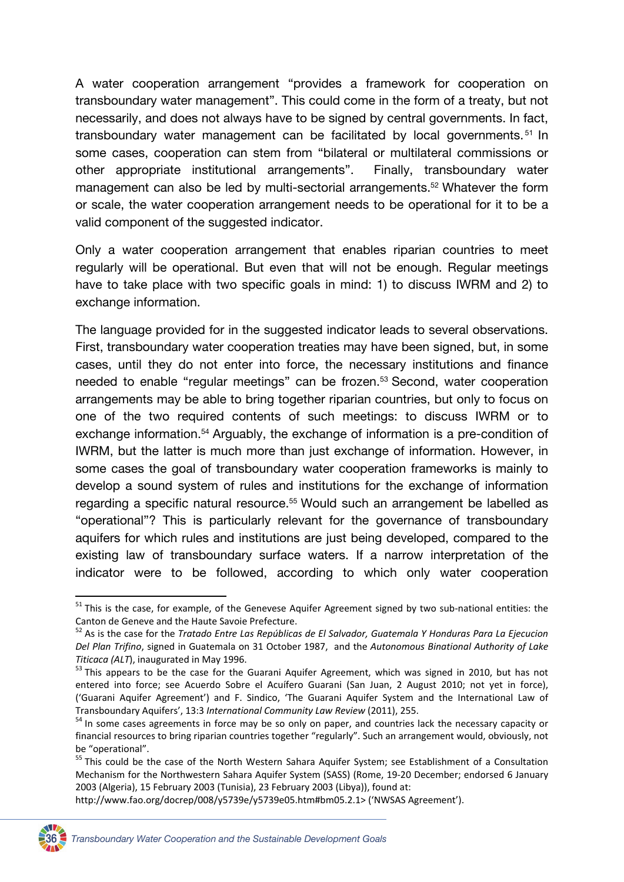A water cooperation arrangement "provides a framework for cooperation on transboundary water management". This could come in the form of a treaty, but not necessarily, and does not always have to be signed by central governments. In fact, transboundary water management can be facilitated by local governments.<sup>51</sup> In some cases, cooperation can stem from "bilateral or multilateral commissions or other appropriate institutional arrangements". Finally, transboundary water management can also be led by multi-sectorial arrangements.<sup>52</sup> Whatever the form or scale, the water cooperation arrangement needs to be operational for it to be a valid component of the suggested indicator.

Only a water cooperation arrangement that enables riparian countries to meet regularly will be operational. But even that will not be enough. Regular meetings have to take place with two specific goals in mind: 1) to discuss IWRM and 2) to exchange information.

The language provided for in the suggested indicator leads to several observations. First, transboundary water cooperation treaties may have been signed, but, in some cases, until they do not enter into force, the necessary institutions and finance needed to enable "regular meetings" can be frozen.<sup>53</sup> Second, water cooperation arrangements may be able to bring together riparian countries, but only to focus on one of the two required contents of such meetings: to discuss IWRM or to exchange information.<sup>54</sup> Arguably, the exchange of information is a pre-condition of IWRM, but the latter is much more than just exchange of information. However, in some cases the goal of transboundary water cooperation frameworks is mainly to develop a sound system of rules and institutions for the exchange of information regarding a specific natural resource.<sup>55</sup> Would such an arrangement be labelled as "operational"? This is particularly relevant for the governance of transboundary aquifers for which rules and institutions are just being developed, compared to the existing law of transboundary surface waters. If a narrow interpretation of the indicator were to be followed, according to which only water cooperation

http://www.fao.org/docrep/008/y5739e/y5739e05.htm#bm05.2.1> ('NWSAS Agreement').



1

<sup>&</sup>lt;sup>51</sup> This is the case, for example, of the Genevese Aquifer Agreement signed by two sub-national entities: the Canton de Geneve and the Haute Savoie Prefecture.

<sup>52</sup> As is the case for the *Tratado Entre Las Repúblicas de El Salvador, Guatemala Y Honduras Para La Ejecucion Del Plan Trifino*, signed in Guatemala on 31 October 1987, and the *Autonomous Binational Authority of Lake Titicaca (ALT)*, inaugurated in May 1996.<br><sup>53</sup> This appears to be the case for the Guarani Aquifer Agreement, which was signed in 2010, but has not

entered into force; see Acuerdo Sobre el Acuífero Guarani (San Juan, 2 August 2010; not yet in force), ('Guarani Aquifer Agreement') and F. Sindico, 'The Guarani Aquifer System and the International Law of Transboundary Aquifers', 13:3 *International Community Law Review* (2011), 255.<br><sup>54</sup> In some cases agreements in force may be so only on paper, and countries lack the necessary capacity or

financial resources to bring riparian countries together "regularly". Such an arrangement would, obviously, not be "operational".

<sup>&</sup>lt;sup>55</sup> This could be the case of the North Western Sahara Aquifer System; see Establishment of a Consultation Mechanism for the Northwestern Sahara Aquifer System (SASS) (Rome, 19-20 December; endorsed 6 January 2003 (Algeria), 15 February 2003 (Tunisia), 23 February 2003 (Libya)), found at: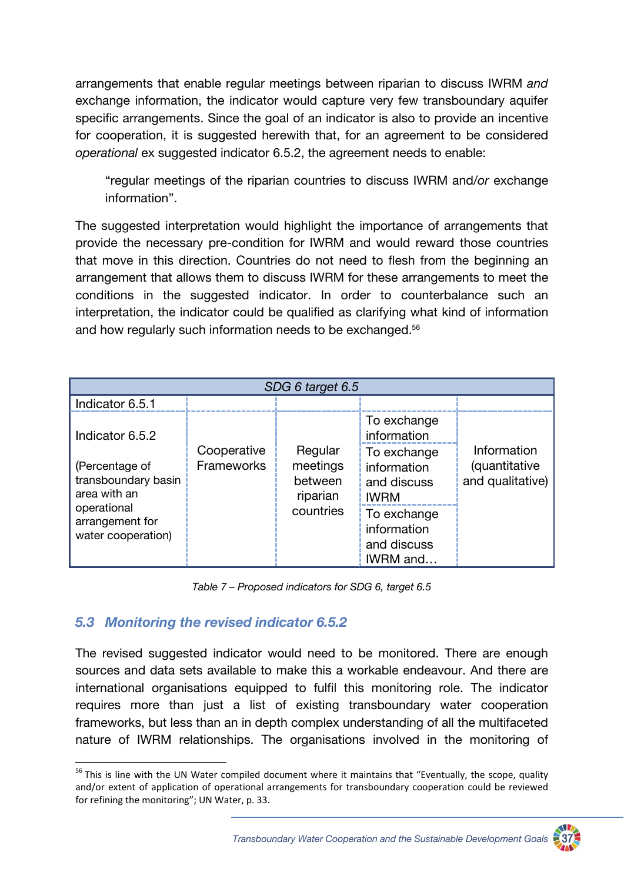arrangements that enable regular meetings between riparian to discuss IWRM *and*  exchange information, the indicator would capture very few transboundary aquifer specific arrangements. Since the goal of an indicator is also to provide an incentive for cooperation, it is suggested herewith that, for an agreement to be considered *operational* ex suggested indicator 6.5.2, the agreement needs to enable:

"regular meetings of the riparian countries to discuss IWRM and*/or* exchange information".

The suggested interpretation would highlight the importance of arrangements that provide the necessary pre-condition for IWRM and would reward those countries that move in this direction. Countries do not need to flesh from the beginning an arrangement that allows them to discuss IWRM for these arrangements to meet the conditions in the suggested indicator. In order to counterbalance such an interpretation, the indicator could be qualified as clarifying what kind of information and how regularly such information needs to be exchanged.<sup>56</sup>

| SDG 6 target 6.5                                      |                           |                                                         |                                                          |                                                  |
|-------------------------------------------------------|---------------------------|---------------------------------------------------------|----------------------------------------------------------|--------------------------------------------------|
| Indicator 6.5.1                                       |                           |                                                         |                                                          |                                                  |
| Indicator 6.5.2                                       |                           |                                                         | To exchange<br>information                               |                                                  |
| (Percentage of<br>transboundary basin<br>area with an | Cooperative<br>Frameworks | Regular<br>meetings<br>between<br>riparian<br>countries | To exchange<br>information<br>and discuss<br><b>IWRM</b> | Information<br>(quantitative<br>and qualitative) |
| operational<br>arrangement for<br>water cooperation)  |                           |                                                         | To exchange<br>information<br>and discuss<br>IWRM and    |                                                  |

*Table 7 – Proposed indicators for SDG 6, target 6.5* 

#### *5.3 Monitoring the revised indicator 6.5.2*

**.** 

The revised suggested indicator would need to be monitored. There are enough sources and data sets available to make this a workable endeavour. And there are international organisations equipped to fulfil this monitoring role. The indicator requires more than just a list of existing transboundary water cooperation frameworks, but less than an in depth complex understanding of all the multifaceted nature of IWRM relationships. The organisations involved in the monitoring of

<sup>&</sup>lt;sup>56</sup> This is line with the UN Water compiled document where it maintains that "Eventually, the scope, quality and/or extent of application of operational arrangements for transboundary cooperation could be reviewed for refining the monitoring"; UN Water, p. 33.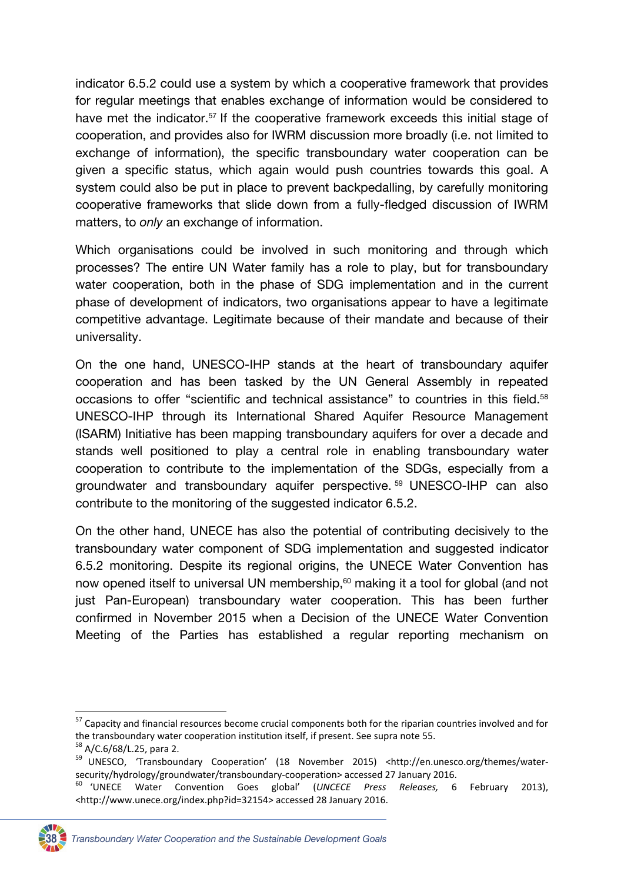indicator 6.5.2 could use a system by which a cooperative framework that provides for regular meetings that enables exchange of information would be considered to have met the indicator.<sup>57</sup> If the cooperative framework exceeds this initial stage of cooperation, and provides also for IWRM discussion more broadly (i.e. not limited to exchange of information), the specific transboundary water cooperation can be given a specific status, which again would push countries towards this goal. A system could also be put in place to prevent backpedalling, by carefully monitoring cooperative frameworks that slide down from a fully-fledged discussion of IWRM matters, to *only* an exchange of information.

Which organisations could be involved in such monitoring and through which processes? The entire UN Water family has a role to play, but for transboundary water cooperation, both in the phase of SDG implementation and in the current phase of development of indicators, two organisations appear to have a legitimate competitive advantage. Legitimate because of their mandate and because of their universality.

On the one hand, UNESCO-IHP stands at the heart of transboundary aquifer cooperation and has been tasked by the UN General Assembly in repeated occasions to offer "scientific and technical assistance" to countries in this field.58 UNESCO-IHP through its International Shared Aquifer Resource Management (ISARM) Initiative has been mapping transboundary aquifers for over a decade and stands well positioned to play a central role in enabling transboundary water cooperation to contribute to the implementation of the SDGs, especially from a groundwater and transboundary aquifer perspective. 59 UNESCO-IHP can also contribute to the monitoring of the suggested indicator 6.5.2.

On the other hand, UNECE has also the potential of contributing decisively to the transboundary water component of SDG implementation and suggested indicator 6.5.2 monitoring. Despite its regional origins, the UNECE Water Convention has now opened itself to universal UN membership,<sup>60</sup> making it a tool for global (and not just Pan-European) transboundary water cooperation. This has been further confirmed in November 2015 when a Decision of the UNECE Water Convention Meeting of the Parties has established a regular reporting mechanism on

<sup>60</sup> 'UNECE Water Convention Goes global' (*UNCECE Press Releases,* 6 February 2013), <http://www.unece.org/index.php?id=32154> accessed 28 January 2016.



1

<sup>&</sup>lt;sup>57</sup> Capacity and financial resources become crucial components both for the riparian countries involved and for the transboundary water cooperation institution itself, if present. See supra note 55.<br><sup>58</sup> A/C.6/68/L.25, para 2.

<sup>59</sup> UNESCO, 'Transboundary Cooperation' (18 November 2015) <http://en.unesco.org/themes/watersecurity/hydrology/groundwater/transboundary-cooperation> accessed 27 January 2016.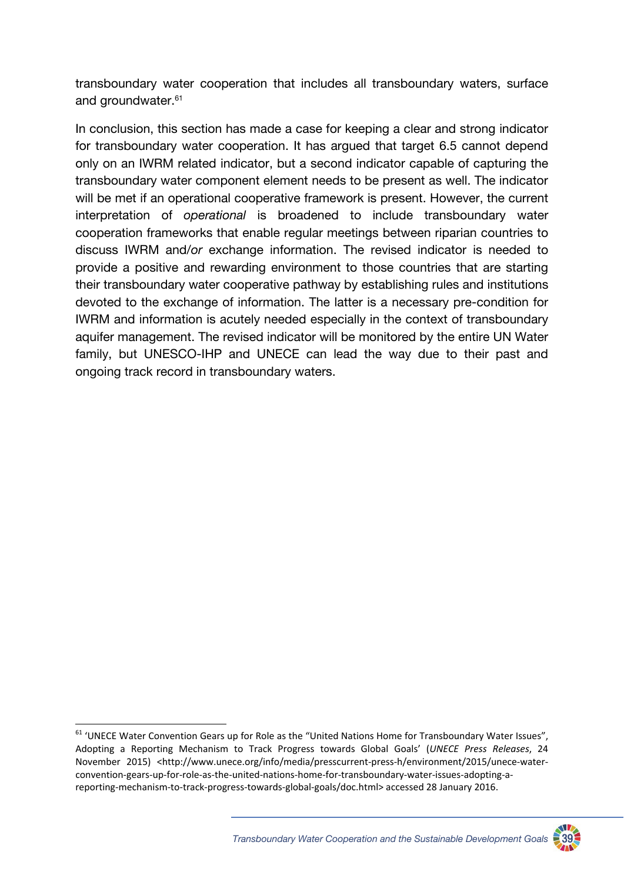transboundary water cooperation that includes all transboundary waters, surface and groundwater.<sup>61</sup>

In conclusion, this section has made a case for keeping a clear and strong indicator for transboundary water cooperation. It has argued that target 6.5 cannot depend only on an IWRM related indicator, but a second indicator capable of capturing the transboundary water component element needs to be present as well. The indicator will be met if an operational cooperative framework is present. However, the current interpretation of *operational* is broadened to include transboundary water cooperation frameworks that enable regular meetings between riparian countries to discuss IWRM and*/or* exchange information. The revised indicator is needed to provide a positive and rewarding environment to those countries that are starting their transboundary water cooperative pathway by establishing rules and institutions devoted to the exchange of information. The latter is a necessary pre-condition for IWRM and information is acutely needed especially in the context of transboundary aquifer management. The revised indicator will be monitored by the entire UN Water family, but UNESCO-IHP and UNECE can lead the way due to their past and ongoing track record in transboundary waters.



 $61$  'UNECE Water Convention Gears up for Role as the "United Nations Home for Transboundary Water Issues", Adopting a Reporting Mechanism to Track Progress towards Global Goals' (*UNECE Press Releases*, 24 November 2015) <http://www.unece.org/info/media/presscurrent-press-h/environment/2015/unece-waterconvention-gears-up-for-role-as-the-united-nations-home-for-transboundary-water-issues-adopting-areporting-mechanism-to-track-progress-towards-global-goals/doc.html> accessed 28 January 2016.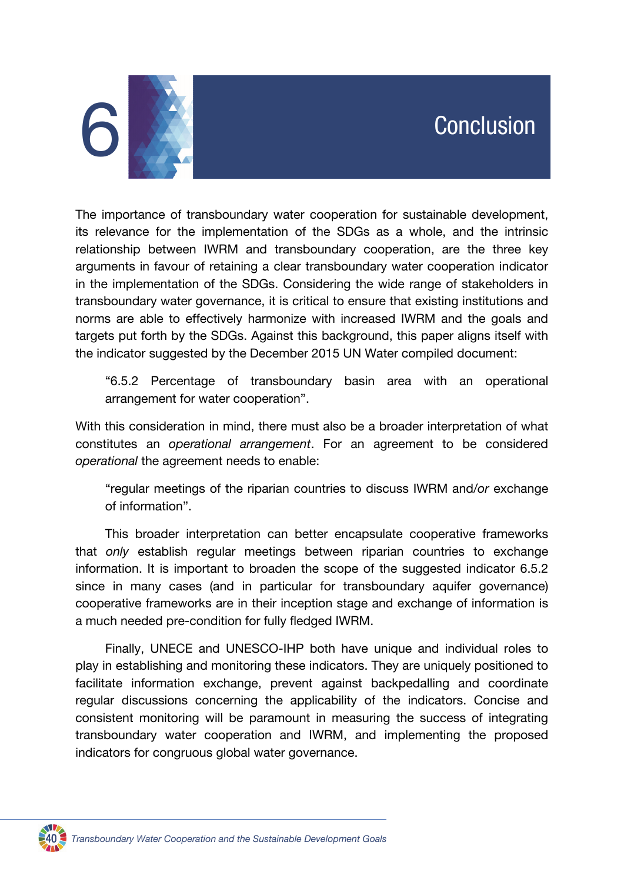

The importance of transboundary water cooperation for sustainable development, its relevance for the implementation of the SDGs as a whole, and the intrinsic relationship between IWRM and transboundary cooperation, are the three key arguments in favour of retaining a clear transboundary water cooperation indicator in the implementation of the SDGs. Considering the wide range of stakeholders in transboundary water governance, it is critical to ensure that existing institutions and norms are able to effectively harmonize with increased IWRM and the goals and targets put forth by the SDGs. Against this background, this paper aligns itself with the indicator suggested by the December 2015 UN Water compiled document:

"6.5.2 Percentage of transboundary basin area with an operational arrangement for water cooperation".

With this consideration in mind, there must also be a broader interpretation of what constitutes an *operational arrangement*. For an agreement to be considered *operational* the agreement needs to enable:

"regular meetings of the riparian countries to discuss IWRM and*/or* exchange of information".

This broader interpretation can better encapsulate cooperative frameworks that *only* establish regular meetings between riparian countries to exchange information. It is important to broaden the scope of the suggested indicator 6.5.2 since in many cases (and in particular for transboundary aquifer governance) cooperative frameworks are in their inception stage and exchange of information is a much needed pre-condition for fully fledged IWRM.

Finally, UNECE and UNESCO-IHP both have unique and individual roles to play in establishing and monitoring these indicators. They are uniquely positioned to facilitate information exchange, prevent against backpedalling and coordinate regular discussions concerning the applicability of the indicators. Concise and consistent monitoring will be paramount in measuring the success of integrating transboundary water cooperation and IWRM, and implementing the proposed indicators for congruous global water governance.

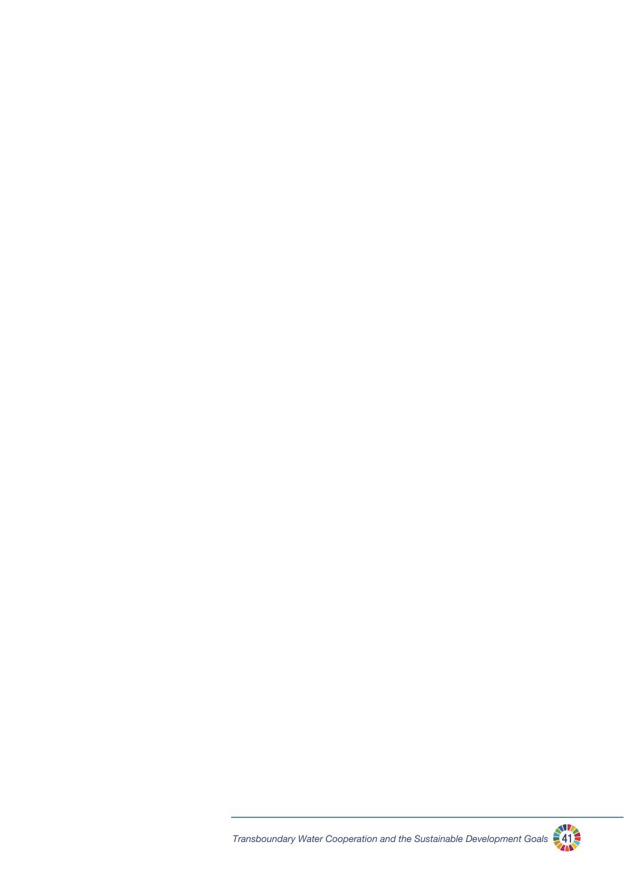